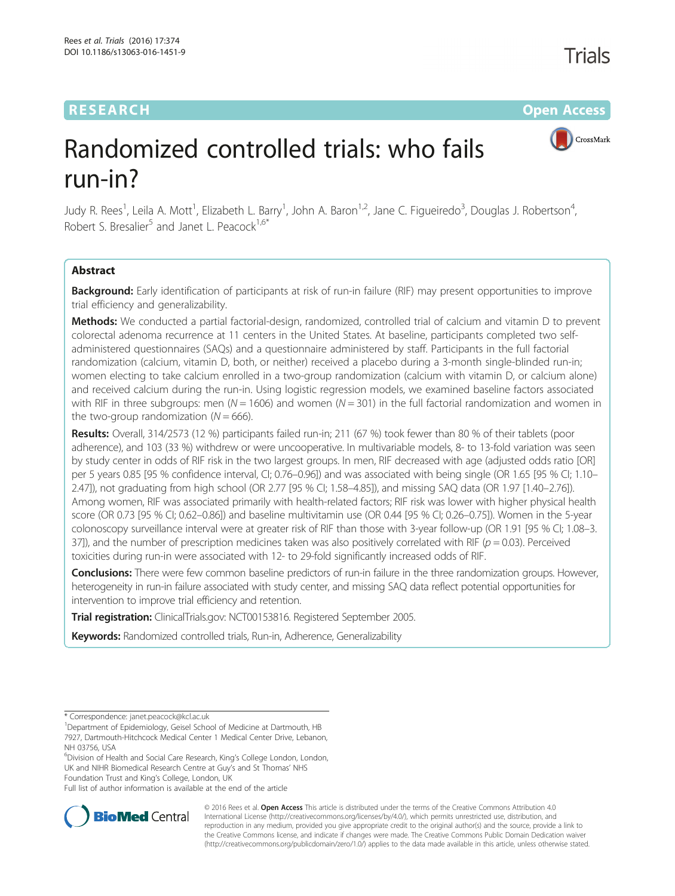# RESEARCH **RESEARCH CONSUMING THE CONSUMING THE CONSUMING THE CONSUMING TEAM Open Access**



# Randomized controlled trials: who fails run-in?

Judy R. Rees<sup>1</sup>, Leila A. Mott<sup>1</sup>, Elizabeth L. Barry<sup>1</sup>, John A. Baron<sup>1,2</sup>, Jane C. Figueiredo<sup>3</sup>, Douglas J. Robertson<sup>4</sup> , Robert S. Bresalier<sup>5</sup> and Janet L. Peacock<sup>1,6\*</sup>

# Abstract

Background: Early identification of participants at risk of run-in failure (RIF) may present opportunities to improve trial efficiency and generalizability.

Methods: We conducted a partial factorial-design, randomized, controlled trial of calcium and vitamin D to prevent colorectal adenoma recurrence at 11 centers in the United States. At baseline, participants completed two selfadministered questionnaires (SAQs) and a questionnaire administered by staff. Participants in the full factorial randomization (calcium, vitamin D, both, or neither) received a placebo during a 3-month single-blinded run-in; women electing to take calcium enrolled in a two-group randomization (calcium with vitamin D, or calcium alone) and received calcium during the run-in. Using logistic regression models, we examined baseline factors associated with RIF in three subgroups: men ( $N = 1606$ ) and women ( $N = 301$ ) in the full factorial randomization and women in the two-group randomization  $(N = 666)$ .

Results: Overall, 314/2573 (12 %) participants failed run-in; 211 (67 %) took fewer than 80 % of their tablets (poor adherence), and 103 (33 %) withdrew or were uncooperative. In multivariable models, 8- to 13-fold variation was seen by study center in odds of RIF risk in the two largest groups. In men, RIF decreased with age (adjusted odds ratio [OR] per 5 years 0.85 [95 % confidence interval, CI; 0.76–0.96]) and was associated with being single (OR 1.65 [95 % CI; 1.10– 2.47]), not graduating from high school (OR 2.77 [95 % CI; 1.58–4.85]), and missing SAQ data (OR 1.97 [1.40–2.76]). Among women, RIF was associated primarily with health-related factors; RIF risk was lower with higher physical health score (OR 0.73 [95 % CI; 0.62–0.86]) and baseline multivitamin use (OR 0.44 [95 % CI; 0.26–0.75]). Women in the 5-year colonoscopy surveillance interval were at greater risk of RIF than those with 3-year follow-up (OR 1.91 [95 % CI; 1.08–3. 37]), and the number of prescription medicines taken was also positively correlated with RIF ( $p = 0.03$ ). Perceived toxicities during run-in were associated with 12- to 29-fold significantly increased odds of RIF.

**Conclusions:** There were few common baseline predictors of run-in failure in the three randomization groups. However, heterogeneity in run-in failure associated with study center, and missing SAQ data reflect potential opportunities for intervention to improve trial efficiency and retention.

Trial registration: ClinicalTrials.gov: [NCT00153816.](https://clinicaltrials.gov/ct2/show/NCT00153816) Registered September 2005.

Keywords: Randomized controlled trials, Run-in, Adherence, Generalizability

Full list of author information is available at the end of the article



© 2016 Rees et al. Open Access This article is distributed under the terms of the Creative Commons Attribution 4.0 International License [\(http://creativecommons.org/licenses/by/4.0/](http://creativecommons.org/licenses/by/4.0/)), which permits unrestricted use, distribution, and reproduction in any medium, provided you give appropriate credit to the original author(s) and the source, provide a link to the Creative Commons license, and indicate if changes were made. The Creative Commons Public Domain Dedication waiver [\(http://creativecommons.org/publicdomain/zero/1.0/](http://creativecommons.org/publicdomain/zero/1.0/)) applies to the data made available in this article, unless otherwise stated.

<sup>\*</sup> Correspondence: [janet.peacock@kcl.ac.uk](mailto:janet.peacock@kcl.ac.uk) <sup>1</sup>

Department of Epidemiology, Geisel School of Medicine at Dartmouth, HB 7927, Dartmouth-Hitchcock Medical Center 1 Medical Center Drive, Lebanon, NH 03756, USA

<sup>&</sup>lt;sup>6</sup>Division of Health and Social Care Research, King's College London, London, UK and NIHR Biomedical Research Centre at Guy's and St Thomas' NHS Foundation Trust and King's College, London, UK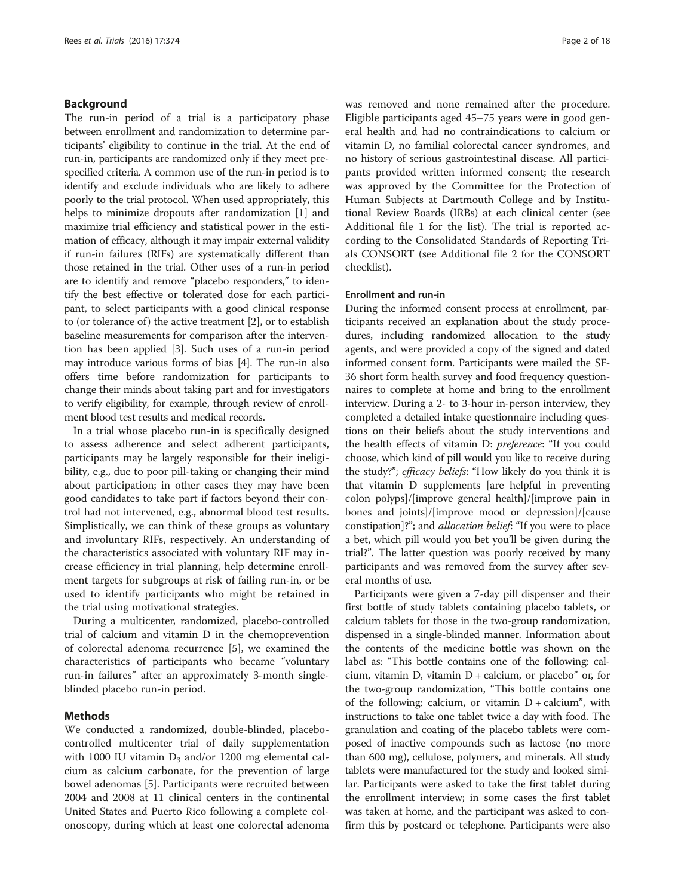# Background

The run-in period of a trial is a participatory phase between enrollment and randomization to determine participants' eligibility to continue in the trial. At the end of run-in, participants are randomized only if they meet prespecified criteria. A common use of the run-in period is to identify and exclude individuals who are likely to adhere poorly to the trial protocol. When used appropriately, this helps to minimize dropouts after randomization [[1](#page-17-0)] and maximize trial efficiency and statistical power in the estimation of efficacy, although it may impair external validity if run-in failures (RIFs) are systematically different than those retained in the trial. Other uses of a run-in period are to identify and remove "placebo responders," to identify the best effective or tolerated dose for each participant, to select participants with a good clinical response to (or tolerance of) the active treatment [\[2](#page-17-0)], or to establish baseline measurements for comparison after the intervention has been applied [\[3](#page-17-0)]. Such uses of a run-in period may introduce various forms of bias [[4](#page-17-0)]. The run-in also offers time before randomization for participants to change their minds about taking part and for investigators to verify eligibility, for example, through review of enrollment blood test results and medical records.

In a trial whose placebo run-in is specifically designed to assess adherence and select adherent participants, participants may be largely responsible for their ineligibility, e.g., due to poor pill-taking or changing their mind about participation; in other cases they may have been good candidates to take part if factors beyond their control had not intervened, e.g., abnormal blood test results. Simplistically, we can think of these groups as voluntary and involuntary RIFs, respectively. An understanding of the characteristics associated with voluntary RIF may increase efficiency in trial planning, help determine enrollment targets for subgroups at risk of failing run-in, or be used to identify participants who might be retained in the trial using motivational strategies.

During a multicenter, randomized, placebo-controlled trial of calcium and vitamin D in the chemoprevention of colorectal adenoma recurrence [[5\]](#page-17-0), we examined the characteristics of participants who became "voluntary run-in failures" after an approximately 3-month singleblinded placebo run-in period.

# Methods

We conducted a randomized, double-blinded, placebocontrolled multicenter trial of daily supplementation with 1000 IU vitamin  $D_3$  and/or 1200 mg elemental calcium as calcium carbonate, for the prevention of large bowel adenomas [[5](#page-17-0)]. Participants were recruited between 2004 and 2008 at 11 clinical centers in the continental United States and Puerto Rico following a complete colonoscopy, during which at least one colorectal adenoma was removed and none remained after the procedure. Eligible participants aged 45–75 years were in good general health and had no contraindications to calcium or vitamin D, no familial colorectal cancer syndromes, and no history of serious gastrointestinal disease. All participants provided written informed consent; the research was approved by the Committee for the Protection of Human Subjects at Dartmouth College and by Institutional Review Boards (IRBs) at each clinical center (see Additional file [1](#page-16-0) for the list). The trial is reported according to the Consolidated Standards of Reporting Trials CONSORT (see Additional file [2](#page-16-0) for the CONSORT checklist).

### Enrollment and run-in

During the informed consent process at enrollment, participants received an explanation about the study procedures, including randomized allocation to the study agents, and were provided a copy of the signed and dated informed consent form. Participants were mailed the SF-36 short form health survey and food frequency questionnaires to complete at home and bring to the enrollment interview. During a 2- to 3-hour in-person interview, they completed a detailed intake questionnaire including questions on their beliefs about the study interventions and the health effects of vitamin D: preference: "If you could choose, which kind of pill would you like to receive during the study?"; efficacy beliefs: "How likely do you think it is that vitamin D supplements [are helpful in preventing colon polyps]/[improve general health]/[improve pain in bones and joints]/[improve mood or depression]/[cause constipation]?"; and *allocation belief*: "If you were to place a bet, which pill would you bet you'll be given during the trial?". The latter question was poorly received by many participants and was removed from the survey after several months of use.

Participants were given a 7-day pill dispenser and their first bottle of study tablets containing placebo tablets, or calcium tablets for those in the two-group randomization, dispensed in a single-blinded manner. Information about the contents of the medicine bottle was shown on the label as: "This bottle contains one of the following: calcium, vitamin D, vitamin  $D$  + calcium, or placebo" or, for the two-group randomization, "This bottle contains one of the following: calcium, or vitamin  $D$  + calcium", with instructions to take one tablet twice a day with food. The granulation and coating of the placebo tablets were composed of inactive compounds such as lactose (no more than 600 mg), cellulose, polymers, and minerals. All study tablets were manufactured for the study and looked similar. Participants were asked to take the first tablet during the enrollment interview; in some cases the first tablet was taken at home, and the participant was asked to confirm this by postcard or telephone. Participants were also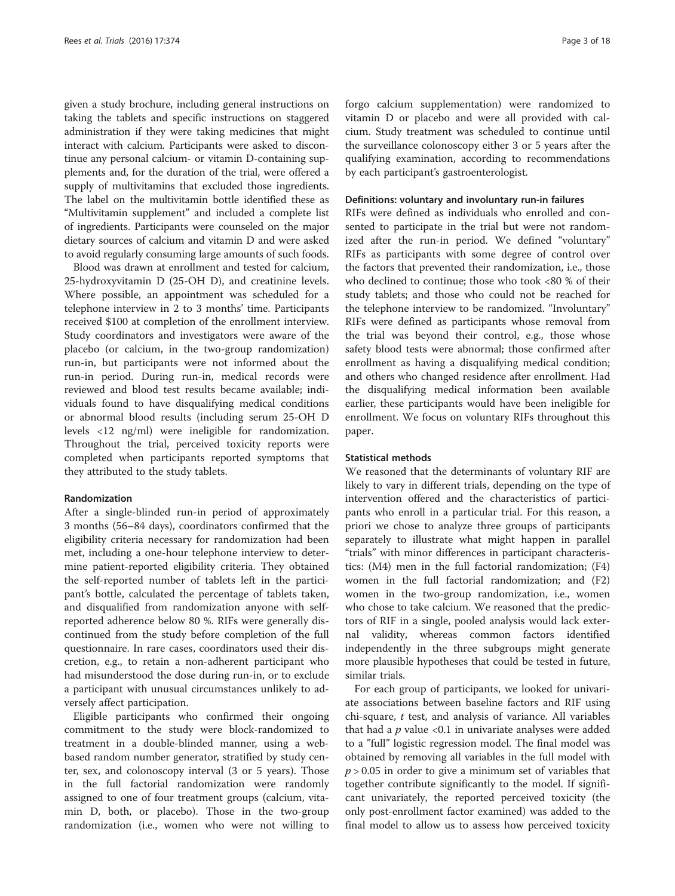given a study brochure, including general instructions on taking the tablets and specific instructions on staggered administration if they were taking medicines that might interact with calcium. Participants were asked to discontinue any personal calcium- or vitamin D-containing supplements and, for the duration of the trial, were offered a supply of multivitamins that excluded those ingredients. The label on the multivitamin bottle identified these as "Multivitamin supplement" and included a complete list of ingredients. Participants were counseled on the major dietary sources of calcium and vitamin D and were asked to avoid regularly consuming large amounts of such foods.

Blood was drawn at enrollment and tested for calcium, 25-hydroxyvitamin D (25-OH D), and creatinine levels. Where possible, an appointment was scheduled for a telephone interview in 2 to 3 months' time. Participants received \$100 at completion of the enrollment interview. Study coordinators and investigators were aware of the placebo (or calcium, in the two-group randomization) run-in, but participants were not informed about the run-in period. During run-in, medical records were reviewed and blood test results became available; individuals found to have disqualifying medical conditions or abnormal blood results (including serum 25-OH D levels <12 ng/ml) were ineligible for randomization. Throughout the trial, perceived toxicity reports were completed when participants reported symptoms that they attributed to the study tablets.

#### Randomization

After a single-blinded run-in period of approximately 3 months (56–84 days), coordinators confirmed that the eligibility criteria necessary for randomization had been met, including a one-hour telephone interview to determine patient-reported eligibility criteria. They obtained the self-reported number of tablets left in the participant's bottle, calculated the percentage of tablets taken, and disqualified from randomization anyone with selfreported adherence below 80 %. RIFs were generally discontinued from the study before completion of the full questionnaire. In rare cases, coordinators used their discretion, e.g., to retain a non-adherent participant who had misunderstood the dose during run-in, or to exclude a participant with unusual circumstances unlikely to adversely affect participation.

Eligible participants who confirmed their ongoing commitment to the study were block-randomized to treatment in a double-blinded manner, using a webbased random number generator, stratified by study center, sex, and colonoscopy interval (3 or 5 years). Those in the full factorial randomization were randomly assigned to one of four treatment groups (calcium, vitamin D, both, or placebo). Those in the two-group randomization (i.e., women who were not willing to

forgo calcium supplementation) were randomized to vitamin D or placebo and were all provided with calcium. Study treatment was scheduled to continue until the surveillance colonoscopy either 3 or 5 years after the qualifying examination, according to recommendations by each participant's gastroenterologist.

### Definitions: voluntary and involuntary run-in failures

RIFs were defined as individuals who enrolled and consented to participate in the trial but were not randomized after the run-in period. We defined "voluntary" RIFs as participants with some degree of control over the factors that prevented their randomization, i.e., those who declined to continue; those who took <80 % of their study tablets; and those who could not be reached for the telephone interview to be randomized. "Involuntary" RIFs were defined as participants whose removal from the trial was beyond their control, e.g., those whose safety blood tests were abnormal; those confirmed after enrollment as having a disqualifying medical condition; and others who changed residence after enrollment. Had the disqualifying medical information been available earlier, these participants would have been ineligible for enrollment. We focus on voluntary RIFs throughout this paper.

# Statistical methods

We reasoned that the determinants of voluntary RIF are likely to vary in different trials, depending on the type of intervention offered and the characteristics of participants who enroll in a particular trial. For this reason, a priori we chose to analyze three groups of participants separately to illustrate what might happen in parallel "trials" with minor differences in participant characteristics: (M4) men in the full factorial randomization; (F4) women in the full factorial randomization; and (F2) women in the two-group randomization, i.e., women who chose to take calcium. We reasoned that the predictors of RIF in a single, pooled analysis would lack external validity, whereas common factors identified independently in the three subgroups might generate more plausible hypotheses that could be tested in future, similar trials.

For each group of participants, we looked for univariate associations between baseline factors and RIF using chi-square,  $t$  test, and analysis of variance. All variables that had a  $p$  value < 0.1 in univariate analyses were added to a "full" logistic regression model. The final model was obtained by removing all variables in the full model with  $p > 0.05$  in order to give a minimum set of variables that together contribute significantly to the model. If significant univariately, the reported perceived toxicity (the only post-enrollment factor examined) was added to the final model to allow us to assess how perceived toxicity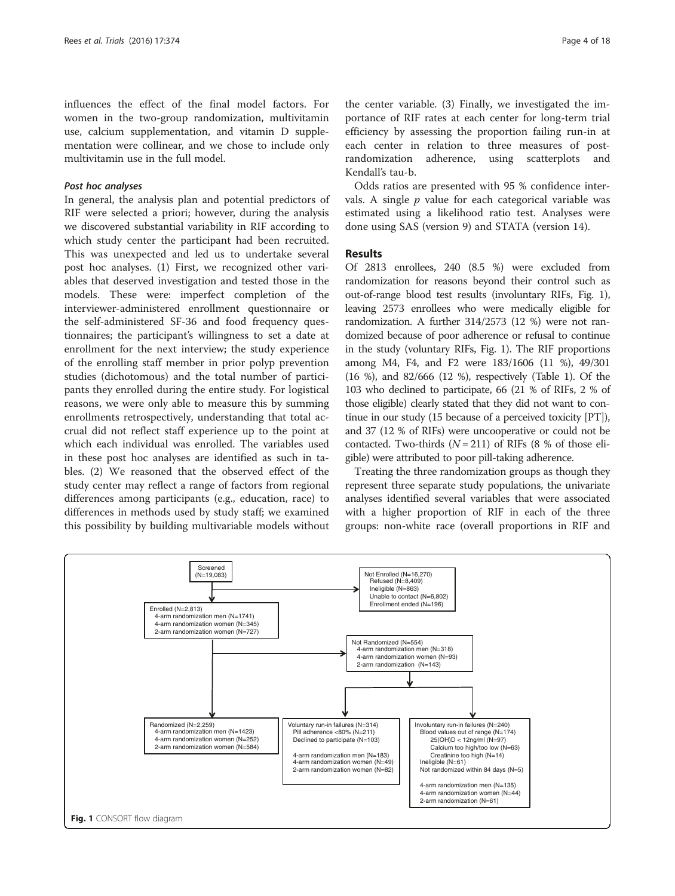influences the effect of the final model factors. For women in the two-group randomization, multivitamin use, calcium supplementation, and vitamin D supplementation were collinear, and we chose to include only multivitamin use in the full model.

# Post hoc analyses

In general, the analysis plan and potential predictors of RIF were selected a priori; however, during the analysis we discovered substantial variability in RIF according to which study center the participant had been recruited. This was unexpected and led us to undertake several post hoc analyses. (1) First, we recognized other variables that deserved investigation and tested those in the models. These were: imperfect completion of the interviewer-administered enrollment questionnaire or the self-administered SF-36 and food frequency questionnaires; the participant's willingness to set a date at enrollment for the next interview; the study experience of the enrolling staff member in prior polyp prevention studies (dichotomous) and the total number of participants they enrolled during the entire study. For logistical reasons, we were only able to measure this by summing enrollments retrospectively, understanding that total accrual did not reflect staff experience up to the point at which each individual was enrolled. The variables used in these post hoc analyses are identified as such in tables. (2) We reasoned that the observed effect of the study center may reflect a range of factors from regional differences among participants (e.g., education, race) to differences in methods used by study staff; we examined this possibility by building multivariable models without

the center variable. (3) Finally, we investigated the importance of RIF rates at each center for long-term trial efficiency by assessing the proportion failing run-in at each center in relation to three measures of postrandomization adherence, using scatterplots and Kendall's tau-b.

Odds ratios are presented with 95 % confidence intervals. A single  $p$  value for each categorical variable was estimated using a likelihood ratio test. Analyses were done using SAS (version 9) and STATA (version 14).

# Results

Of 2813 enrollees, 240 (8.5 %) were excluded from randomization for reasons beyond their control such as out-of-range blood test results (involuntary RIFs, Fig. 1), leaving 2573 enrollees who were medically eligible for randomization. A further 314/2573 (12 %) were not randomized because of poor adherence or refusal to continue in the study (voluntary RIFs, Fig. 1). The RIF proportions among M4, F4, and F2 were 183/1606 (11 %), 49/301 (16 %), and 82/666 (12 %), respectively (Table [1](#page-4-0)). Of the 103 who declined to participate, 66 (21 % of RIFs, 2 % of those eligible) clearly stated that they did not want to continue in our study (15 because of a perceived toxicity [PT]), and 37 (12 % of RIFs) were uncooperative or could not be contacted. Two-thirds  $(N = 211)$  of RIFs (8 % of those eligible) were attributed to poor pill-taking adherence.

Treating the three randomization groups as though they represent three separate study populations, the univariate analyses identified several variables that were associated with a higher proportion of RIF in each of the three groups: non-white race (overall proportions in RIF and

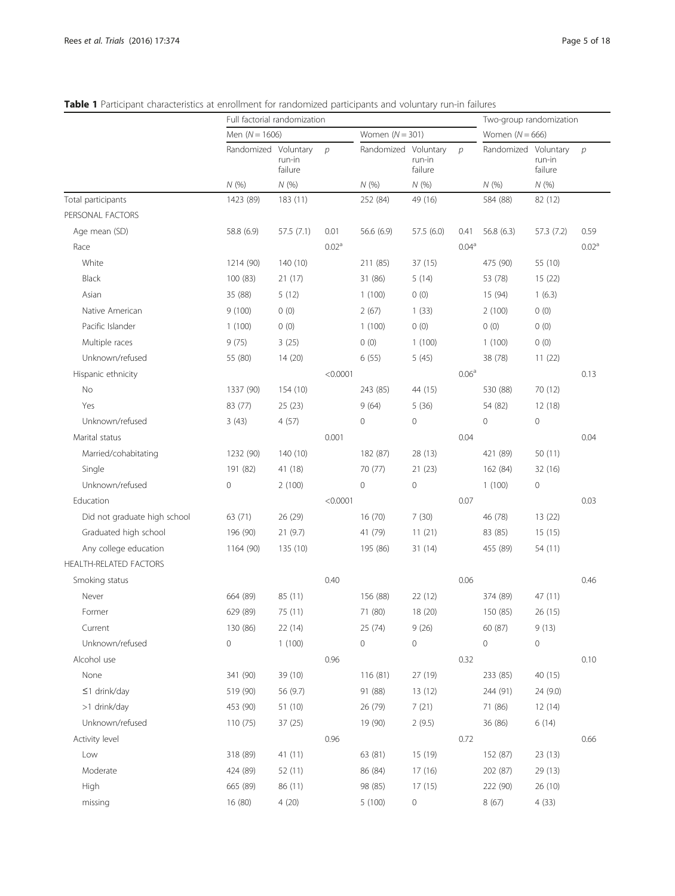|                               | Full factorial randomization |                   |                   |                      |                   | Two-group randomization |                      |                   |                   |
|-------------------------------|------------------------------|-------------------|-------------------|----------------------|-------------------|-------------------------|----------------------|-------------------|-------------------|
|                               | Men $(N = 1606)$             |                   |                   | Women $(N = 301)$    |                   |                         | Women $(N = 666)$    |                   |                   |
|                               | Randomized Voluntary         | run-in<br>failure | $\mathcal{D}$     | Randomized Voluntary | run-in<br>failure | $\mathcal{D}$           | Randomized Voluntary | run-in<br>failure | $\mathcal{D}$     |
|                               | N(%                          | N(%)              |                   | N(%)                 | N(%               |                         | N(%                  | N(%)              |                   |
| Total participants            | 1423 (89)                    | 183(11)           |                   | 252 (84)             | 49 (16)           |                         | 584 (88)             | 82 (12)           |                   |
| PERSONAL FACTORS              |                              |                   |                   |                      |                   |                         |                      |                   |                   |
| Age mean (SD)                 | 58.8 (6.9)                   | 57.5(7.1)         | 0.01              | 56.6 (6.9)           | 57.5(6.0)         | 0.41                    | 56.8(6.3)            | 57.3 (7.2)        | 0.59              |
| Race                          |                              |                   | 0.02 <sup>a</sup> |                      |                   | 0.04 <sup>a</sup>       |                      |                   | 0.02 <sup>a</sup> |
| White                         | 1214 (90)                    | 140(10)           |                   | 211 (85)             | 37 (15)           |                         | 475 (90)             | 55 (10)           |                   |
| Black                         | 100(83)                      | 21(17)            |                   | 31 (86)              | 5(14)             |                         | 53 (78)              | 15(22)            |                   |
| Asian                         | 35 (88)                      | 5(12)             |                   | 1(100)               | 0(0)              |                         | 15 (94)              | 1(6.3)            |                   |
| Native American               | 9(100)                       | 0(0)              |                   | 2(67)                | 1(33)             |                         | 2(100)               | 0(0)              |                   |
| Pacific Islander              | 1(100)                       | 0(0)              |                   | 1(100)               | 0(0)              |                         | 0(0)                 | 0(0)              |                   |
| Multiple races                | 9(75)                        | 3(25)             |                   | 0(0)                 | 1(100)            |                         | 1(100)               | 0(0)              |                   |
| Unknown/refused               | 55 (80)                      | 14(20)            |                   | 6(55)                | 5 (45)            |                         | 38 (78)              | 11(22)            |                   |
| Hispanic ethnicity            |                              |                   | < 0.0001          |                      |                   | 0.06 <sup>a</sup>       |                      |                   | 0.13              |
| No                            | 1337 (90)                    | 154 (10)          |                   | 243 (85)             | 44 (15)           |                         | 530 (88)             | 70 (12)           |                   |
| Yes                           | 83 (77)                      | 25(23)            |                   | 9(64)                | 5(36)             |                         | 54 (82)              | 12(18)            |                   |
| Unknown/refused               | 3(43)                        | 4(57)             |                   | 0                    | 0                 |                         | $\mathbf 0$          | 0                 |                   |
| Marital status                |                              |                   | 0.001             |                      |                   | 0.04                    |                      |                   | 0.04              |
| Married/cohabitating          | 1232 (90)                    | 140(10)           |                   | 182 (87)             | 28 (13)           |                         | 421 (89)             | 50 (11)           |                   |
| Single                        | 191 (82)                     | 41 (18)           |                   | 70 (77)              | 21(23)            |                         | 162 (84)             | 32 (16)           |                   |
| Unknown/refused               | $\mathsf{O}\xspace$          | 2(100)            |                   | $\mathsf{O}\xspace$  | 0                 |                         | 1(100)               | 0                 |                   |
| Education                     |                              |                   | < 0.0001          |                      |                   | 0.07                    |                      |                   | 0.03              |
| Did not graduate high school  | 63 (71)                      | 26 (29)           |                   | 16(70)               | 7(30)             |                         | 46 (78)              | 13(22)            |                   |
| Graduated high school         | 196 (90)                     | 21(9.7)           |                   | 41 (79)              | 11(21)            |                         | 83 (85)              | 15(15)            |                   |
| Any college education         | 1164 (90)                    | 135 (10)          |                   | 195 (86)             | 31 (14)           |                         | 455 (89)             | 54 (11)           |                   |
| <b>HEALTH-RELATED FACTORS</b> |                              |                   |                   |                      |                   |                         |                      |                   |                   |
| Smoking status                |                              |                   | 0.40              |                      |                   | 0.06                    |                      |                   | 0.46              |
| Never                         | 664 (89)                     | 85 (11)           |                   | 156 (88)             | 22 (12)           |                         | 374 (89)             | 47 (11)           |                   |
| Former                        | 629 (89)                     | 75 (11)           |                   | 71 (80)              | 18 (20)           |                         | 150 (85)             | 26 (15)           |                   |
| Current                       | 130 (86)                     | 22 (14)           |                   | 25 (74)              | 9(26)             |                         | 60 (87)              | 9(13)             |                   |
| Unknown/refused               | 0                            | 1(100)            |                   | $\mathbf 0$          | 0                 |                         | $\mathbf 0$          | 0                 |                   |
| Alcohol use                   |                              |                   | 0.96              |                      |                   | 0.32                    |                      |                   | 0.10              |
| None                          | 341 (90)                     | 39 (10)           |                   | 116(81)              | 27 (19)           |                         | 233 (85)             | 40 (15)           |                   |
| ≤1 drink/day                  | 519 (90)                     | 56 (9.7)          |                   | 91 (88)              | 13(12)            |                         | 244 (91)             | 24 (9.0)          |                   |
| >1 drink/day                  | 453 (90)                     | 51 (10)           |                   | 26 (79)              | 7(21)             |                         | 71 (86)              | 12 (14)           |                   |
| Unknown/refused               | 110(75)                      | 37(25)            |                   | 19 (90)              | 2(9.5)            |                         | 36 (86)              | 6(14)             |                   |
| Activity level                |                              |                   | 0.96              |                      |                   | 0.72                    |                      |                   | 0.66              |
| Low                           | 318 (89)                     | 41 (11)           |                   | 63 (81)              | 15 (19)           |                         | 152 (87)             | 23 (13)           |                   |
| Moderate                      | 424 (89)                     | 52 (11)           |                   | 86 (84)              | 17 (16)           |                         | 202 (87)             | 29 (13)           |                   |
| High                          | 665 (89)                     | 86 (11)           |                   | 98 (85)              | 17 (15)           |                         | 222 (90)             | 26 (10)           |                   |

missing 16 (80) 4 (20) 5 (100) 0 8 (67) 4 (33)

# <span id="page-4-0"></span>Table 1 Participant characteristics at enrollment for randomized participants and voluntary run-in failures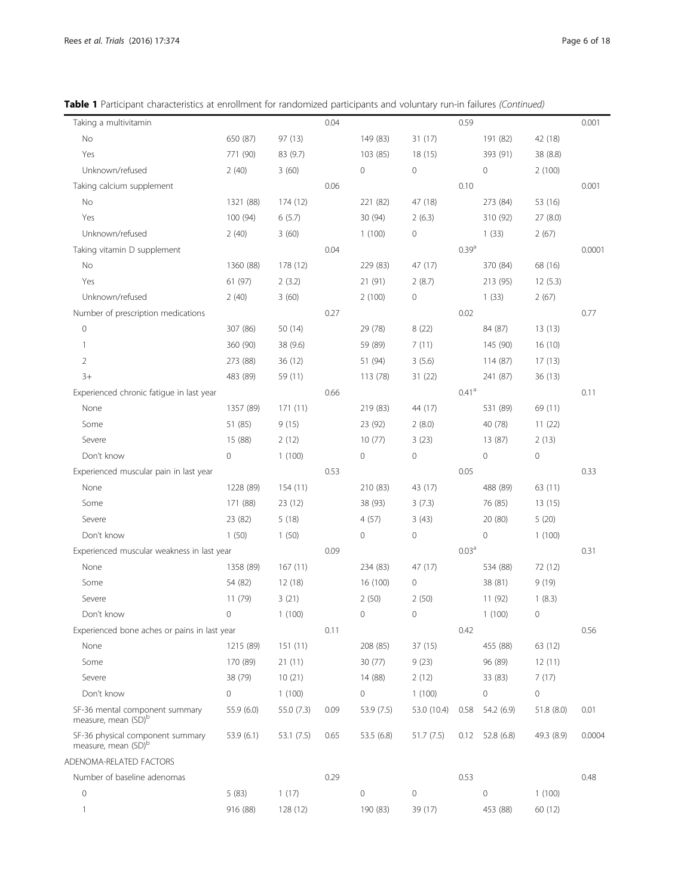Table 1 Participant characteristics at enrollment for randomized participants and voluntary run-in failures (Continued)

| Taking a multivitamin                                               |                     |            | 0.04 |                     |             | 0.59              |             |                     | 0.001  |
|---------------------------------------------------------------------|---------------------|------------|------|---------------------|-------------|-------------------|-------------|---------------------|--------|
| No                                                                  | 650 (87)            | 97 (13)    |      | 149 (83)            | 31 (17)     |                   | 191 (82)    | 42 (18)             |        |
| Yes                                                                 | 771 (90)            | 83 (9.7)   |      | 103 (85)            | 18 (15)     |                   | 393 (91)    | 38 (8.8)            |        |
| Unknown/refused                                                     | 2(40)               | 3(60)      |      | $\mathsf{O}\xspace$ | $\mathbf 0$ |                   | 0           | 2(100)              |        |
| Taking calcium supplement                                           |                     |            | 0.06 |                     |             | 0.10              |             |                     | 0.001  |
| No                                                                  | 1321 (88)           | 174 (12)   |      | 221 (82)            | 47 (18)     |                   | 273 (84)    | 53 (16)             |        |
| Yes                                                                 | 100 (94)            | 6(5.7)     |      | 30 (94)             | 2(6.3)      |                   | 310 (92)    | 27(8.0)             |        |
| Unknown/refused                                                     | 2(40)               | 3(60)      |      | 1(100)              | $\mathbf 0$ |                   | 1(33)       | 2(67)               |        |
| Taking vitamin D supplement                                         |                     |            | 0.04 |                     |             | 0.39 <sup>a</sup> |             |                     | 0.0001 |
| No                                                                  | 1360 (88)           | 178 (12)   |      | 229 (83)            | 47 (17)     |                   | 370 (84)    | 68 (16)             |        |
| Yes                                                                 | 61 (97)             | 2(3.2)     |      | 21 (91)             | 2(8.7)      |                   | 213 (95)    | 12(5.3)             |        |
| Unknown/refused                                                     | 2(40)               | 3(60)      |      | 2(100)              | $\mathbf 0$ |                   | 1(33)       | 2(67)               |        |
| Number of prescription medications                                  |                     |            | 0.27 |                     |             | 0.02              |             |                     | 0.77   |
| $\mathbb O$                                                         | 307 (86)            | 50 (14)    |      | 29 (78)             | 8(22)       |                   | 84 (87)     | 13(13)              |        |
| $\mathbf{1}$                                                        | 360 (90)            | 38 (9.6)   |      | 59 (89)             | 7(11)       |                   | 145 (90)    | 16 (10)             |        |
| 2                                                                   | 273 (88)            | 36(12)     |      | 51 (94)             | 3(5.6)      |                   | 114 (87)    | 17(13)              |        |
| $3+$                                                                | 483 (89)            | 59 (11)    |      | 113 (78)            | 31(22)      |                   | 241 (87)    | 36(13)              |        |
| Experienced chronic fatigue in last year                            |                     |            | 0.66 |                     |             | $0.41^\mathrm{a}$ |             |                     | 0.11   |
| None                                                                | 1357 (89)           | 171(11)    |      | 219 (83)            | 44 (17)     |                   | 531 (89)    | 69 (11)             |        |
| Some                                                                | 51 (85)             | 9(15)      |      | 23 (92)             | 2(8.0)      |                   | 40 (78)     | 11(22)              |        |
| Severe                                                              | 15 (88)             | 2(12)      |      | 10(77)              | 3(23)       |                   | 13 (87)     | 2(13)               |        |
| Don't know                                                          | $\mathsf{O}\xspace$ | 1(100)     |      | $\mathsf{O}\xspace$ | $\mathbf 0$ |                   | 0           | $\mathsf{O}\xspace$ |        |
| Experienced muscular pain in last year                              |                     |            | 0.53 |                     |             | 0.05              |             |                     | 0.33   |
| None                                                                | 1228 (89)           | 154(11)    |      | 210 (83)            | 43 (17)     |                   | 488 (89)    | 63 (11)             |        |
| Some                                                                | 171 (88)            | 23(12)     |      | 38 (93)             | 3(7.3)      |                   | 76 (85)     | 13(15)              |        |
| Severe                                                              | 23 (82)             | 5(18)      |      | 4(57)               | 3(43)       |                   | 20 (80)     | 5(20)               |        |
| Don't know                                                          | 1(50)               | 1(50)      |      | $\mathsf{O}\xspace$ | $\mathbf 0$ |                   | 0           | 1(100)              |        |
| Experienced muscular weakness in last year                          |                     |            | 0.09 |                     |             | 0.03 <sup>a</sup> |             |                     | 0.31   |
| None                                                                | 1358 (89)           | 167(11)    |      | 234 (83)            | 47 (17)     |                   | 534 (88)    | 72 (12)             |        |
| Some                                                                | 54 (82)             | 12 (18)    |      | 16 (100)            | $\mathbf 0$ |                   | 38 (81)     | 9(19)               |        |
| Severe                                                              | 11(79)              | 3(21)      |      | 2(50)               | 2(50)       |                   | 11(92)      | 1(8.3)              |        |
| Don't know                                                          | 0                   | 1(100)     |      | 0                   | $\mathbf 0$ |                   | 1(100)      | 0                   |        |
| Experienced bone aches or pains in last year                        |                     |            | 0.11 |                     |             | 0.42              |             |                     | 0.56   |
| None                                                                | 1215 (89)           | 151(11)    |      | 208 (85)            | 37 (15)     |                   | 455 (88)    | 63 (12)             |        |
| Some                                                                | 170 (89)            | 21(11)     |      | 30 (77)             | 9(23)       |                   | 96 (89)     | 12(11)              |        |
| Severe                                                              | 38 (79)             | 10(21)     |      | 14 (88)             | 2(12)       |                   | 33 (83)     | 7(17)               |        |
| Don't know                                                          | $\circ$             | 1(100)     |      | $\mathsf{O}\xspace$ | 1(100)      |                   | 0           | $\circ$             |        |
| SF-36 mental component summary<br>measure, mean (SD) <sup>b</sup>   | 55.9 (6.0)          | 55.0 (7.3) | 0.09 | 53.9 (7.5)          | 53.0 (10.4) | 0.58              | 54.2 (6.9)  | 51.8 (8.0)          | 0.01   |
| SF-36 physical component summary<br>measure, mean (SD) <sup>b</sup> | 53.9(6.1)           | 53.1 (7.5) | 0.65 | 53.5 (6.8)          | 51.7 (7.5)  | 0.12              | 52.8 (6.8)  | 49.3 (8.9)          | 0.0004 |
| ADENOMA-RELATED FACTORS                                             |                     |            |      |                     |             |                   |             |                     |        |
| Number of baseline adenomas                                         |                     |            | 0.29 |                     |             | 0.53              |             |                     | 0.48   |
| $\mathbf 0$                                                         | 5(83)               | 1(17)      |      | $\mathbf 0$         | $\mathbf 0$ |                   | $\mathbf 0$ | 1(100)              |        |
|                                                                     | 916 (88)            | 128 (12)   |      | 190 (83)            | 39 (17)     |                   | 453 (88)    | 60 (12)             |        |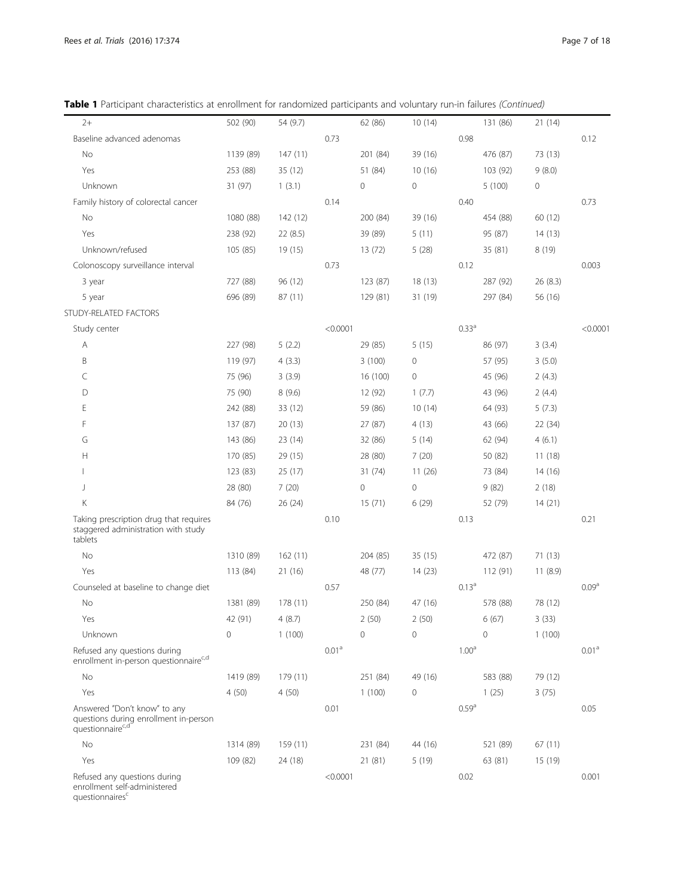Table 1 Participant characteristics at enrollment for randomized participants and voluntary run-in failures (Continued)

| $2+$                                                                                                  | 502 (90)  | 54 (9.7) |                   | 62 (86)      | 10(14)      |                   | 131 (86)    | 21(14)              |                   |
|-------------------------------------------------------------------------------------------------------|-----------|----------|-------------------|--------------|-------------|-------------------|-------------|---------------------|-------------------|
| Baseline advanced adenomas                                                                            |           |          | 0.73              |              |             | 0.98              |             |                     | 0.12              |
| No                                                                                                    | 1139 (89) | 147(11)  |                   | 201 (84)     | 39 (16)     |                   | 476 (87)    | 73 (13)             |                   |
| Yes                                                                                                   | 253 (88)  | 35 (12)  |                   | 51 (84)      | 10(16)      |                   | 103 (92)    | 9(8.0)              |                   |
| Unknown                                                                                               | 31 (97)   | 1(3.1)   |                   | $\mathbf{0}$ | 0           |                   | 5(100)      | $\mathsf{O}\xspace$ |                   |
| Family history of colorectal cancer                                                                   |           |          | 0.14              |              |             | 0.40              |             |                     | 0.73              |
| No                                                                                                    | 1080 (88) | 142 (12) |                   | 200 (84)     | 39 (16)     |                   | 454 (88)    | 60 (12)             |                   |
| Yes                                                                                                   | 238 (92)  | 22(8.5)  |                   | 39 (89)      | 5(11)       |                   | 95 (87)     | 14(13)              |                   |
| Unknown/refused                                                                                       | 105 (85)  | 19 (15)  |                   | 13(72)       | 5(28)       |                   | 35 (81)     | 8(19)               |                   |
| Colonoscopy surveillance interval                                                                     |           |          | 0.73              |              |             | 0.12              |             |                     | 0.003             |
| 3 year                                                                                                | 727 (88)  | 96 (12)  |                   | 123 (87)     | 18(13)      |                   | 287 (92)    | 26 (8.3)            |                   |
| 5 year                                                                                                | 696 (89)  | 87 (11)  |                   | 129 (81)     | 31 (19)     |                   | 297 (84)    | 56 (16)             |                   |
| STUDY-RELATED FACTORS                                                                                 |           |          |                   |              |             |                   |             |                     |                   |
| Study center                                                                                          |           |          | < 0.0001          |              |             | 0.33 <sup>a</sup> |             |                     | < 0.0001          |
| Α                                                                                                     | 227 (98)  | 5(2.2)   |                   | 29 (85)      | 5(15)       |                   | 86 (97)     | 3(3.4)              |                   |
| B                                                                                                     | 119 (97)  | 4(3.3)   |                   | 3(100)       | 0           |                   | 57 (95)     | 3(5.0)              |                   |
| C                                                                                                     | 75 (96)   | 3(3.9)   |                   | 16 (100)     | 0           |                   | 45 (96)     | 2(4.3)              |                   |
| D                                                                                                     | 75 (90)   | 8 (9.6)  |                   | 12 (92)      | 1(7.7)      |                   | 43 (96)     | 2(4.4)              |                   |
| Ε                                                                                                     | 242 (88)  | 33 (12)  |                   | 59 (86)      | 10(14)      |                   | 64 (93)     | 5(7.3)              |                   |
| F                                                                                                     | 137 (87)  | 20 (13)  |                   | 27 (87)      | 4(13)       |                   | 43 (66)     | 22 (34)             |                   |
| G                                                                                                     | 143 (86)  | 23 (14)  |                   | 32 (86)      | 5(14)       |                   | 62 (94)     | 4(6.1)              |                   |
| Н                                                                                                     | 170 (85)  | 29 (15)  |                   | 28 (80)      | 7(20)       |                   | 50 (82)     | 11(18)              |                   |
| $\mathbf{I}$                                                                                          | 123 (83)  | 25 (17)  |                   | 31(74)       | 11(26)      |                   | 73 (84)     | 14(16)              |                   |
| J                                                                                                     | 28 (80)   | 7(20)    |                   | $\mathbf 0$  | $\mathbf 0$ |                   | 9(82)       | 2(18)               |                   |
| К                                                                                                     | 84 (76)   | 26(24)   |                   | 15(71)       | 6(29)       |                   | 52 (79)     | 14(21)              |                   |
| Taking prescription drug that requires<br>staggered administration with study<br>tablets              |           |          | 0.10              |              |             | 0.13              |             |                     | 0.21              |
| No                                                                                                    | 1310 (89) | 162(11)  |                   | 204 (85)     | 35(15)      |                   | 472 (87)    | 71 (13)             |                   |
| Yes                                                                                                   | 113 (84)  | 21 (16)  |                   | 48 (77)      | 14(23)      |                   | 112 (91)    | 11(8.9)             |                   |
| Counseled at baseline to change diet                                                                  |           |          | 0.57              |              |             | 0.13 <sup>a</sup> |             |                     | 0.09 <sup>a</sup> |
| No                                                                                                    | 1381 (89) | 178 (11) |                   | 250 (84)     | 47 (16)     |                   | 578 (88)    | 78 (12)             |                   |
| Yes                                                                                                   | 42 (91)   | 4(8.7)   |                   | 2(50)        | 2(50)       |                   | 6(67)       | 3(33)               |                   |
| Unknown                                                                                               | 0         | 1(100)   |                   | $\mathbf 0$  | $\mathbf 0$ |                   | $\mathbf 0$ | 1(100)              |                   |
| Refused any questions during<br>enrollment in-person questionnaire <sup>c,d</sup>                     |           |          | 0.01 <sup>a</sup> |              |             | 1.00 <sup>a</sup> |             |                     | 0.01 <sup>a</sup> |
| No                                                                                                    | 1419 (89) | 179 (11) |                   | 251 (84)     | 49 (16)     |                   | 583 (88)    | 79 (12)             |                   |
| Yes                                                                                                   | 4(50)     | 4(50)    |                   | 1(100)       | 0           |                   | 1(25)       | 3(75)               |                   |
| Answered "Don't know" to any<br>questions during enrollment in-person<br>questionnaire <sup>c,d</sup> |           |          | 0.01              |              |             | 0.59 <sup>a</sup> |             |                     | 0.05              |
| No                                                                                                    | 1314 (89) | 159 (11) |                   | 231 (84)     | 44 (16)     |                   | 521 (89)    | 67(11)              |                   |
| Yes                                                                                                   | 109 (82)  | 24 (18)  |                   | 21(81)       | 5(19)       |                   | 63 (81)     | 15 (19)             |                   |
| Refused any questions during<br>enrollment self-administered<br>questionnaires <sup>c</sup>           |           |          | < 0.0001          |              |             | 0.02              |             |                     | 0.001             |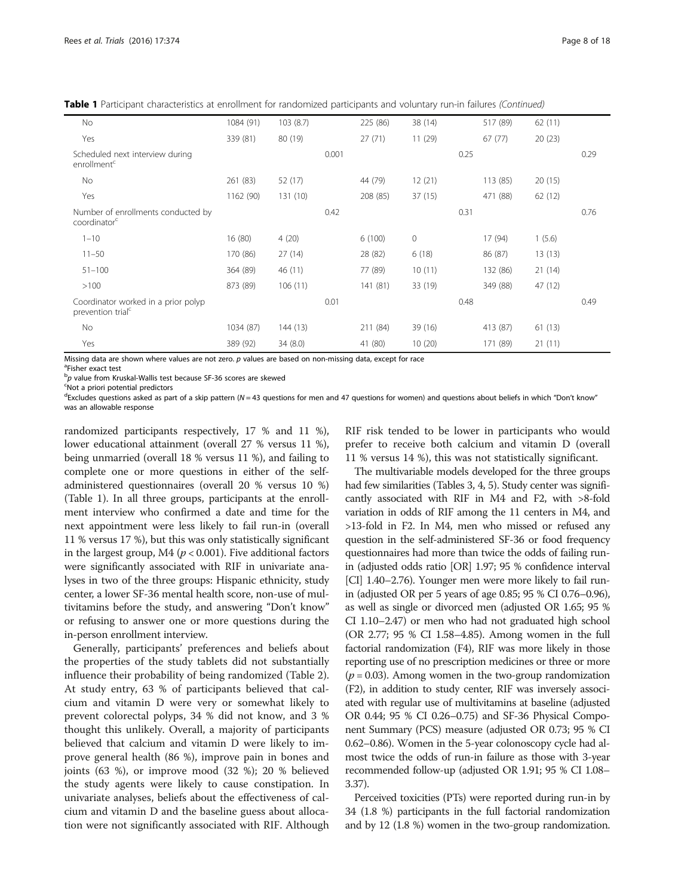Table 1 Participant characteristics at enrollment for randomized participants and voluntary run-in failures (Continued)

| No                                                                   | 1084 (91) | 103(8.7) |       | 225 (86) | 38 (14)      |      | 517 (89) | 62(11)  |      |
|----------------------------------------------------------------------|-----------|----------|-------|----------|--------------|------|----------|---------|------|
| Yes                                                                  | 339 (81)  | 80 (19)  |       | 27(71)   | 11(29)       |      | 67(77)   | 20(23)  |      |
| Scheduled next interview during<br>enrollment <sup>c</sup>           |           |          | 0.001 |          |              | 0.25 |          |         | 0.29 |
| No                                                                   | 261 (83)  | 52 (17)  |       | 44 (79)  | 12(21)       |      | 113 (85) | 20(15)  |      |
| Yes                                                                  | 1162 (90) | 131(10)  |       | 208 (85) | 37(15)       |      | 471 (88) | 62(12)  |      |
| Number of enrollments conducted by<br>coordinator <sup>c</sup>       |           |          | 0.42  |          |              | 0.31 |          |         | 0.76 |
| $1 - 10$                                                             | 16(80)    | 4(20)    |       | 6(100)   | $\mathbf{0}$ |      | 17 (94)  | 1(5.6)  |      |
| $11 - 50$                                                            | 170 (86)  | 27(14)   |       | 28 (82)  | 6(18)        |      | 86 (87)  | 13(13)  |      |
| $51 - 100$                                                           | 364 (89)  | 46 (11)  |       | 77 (89)  | 10(11)       |      | 132 (86) | 21(14)  |      |
| >100                                                                 | 873 (89)  | 106(11)  |       | 141(81)  | 33 (19)      |      | 349 (88) | 47 (12) |      |
| Coordinator worked in a prior polyp<br>prevention trial <sup>c</sup> |           |          | 0.01  |          |              | 0.48 |          |         | 0.49 |
| No                                                                   | 1034 (87) | 144(13)  |       | 211 (84) | 39(16)       |      | 413 (87) | 61(13)  |      |
| Yes                                                                  | 389 (92)  | 34(8.0)  |       | 41 (80)  | 10(20)       |      | 171 (89) | 21(11)  |      |

Missing data are shown where values are not zero.  $p$  values are based on non-missing data, except for race

Fisher exact test

<sup>b</sup>p value from Kruskal-Wallis test because SF-36 scores are skewed<br>SNot a priori potential predictors

Not a priori potential predictors

<sup>d</sup>Excludes questions asked as part of a skip pattern (N = 43 questions for men and 47 questions for women) and questions about beliefs in which "Don't know" was an allowable response

randomized participants respectively, 17 % and 11 %), lower educational attainment (overall 27 % versus 11 %), being unmarried (overall 18 % versus 11 %), and failing to complete one or more questions in either of the selfadministered questionnaires (overall 20 % versus 10 %) (Table [1](#page-4-0)). In all three groups, participants at the enrollment interview who confirmed a date and time for the next appointment were less likely to fail run-in (overall 11 % versus 17 %), but this was only statistically significant in the largest group, M4 ( $p < 0.001$ ). Five additional factors were significantly associated with RIF in univariate analyses in two of the three groups: Hispanic ethnicity, study center, a lower SF-36 mental health score, non-use of multivitamins before the study, and answering "Don't know" or refusing to answer one or more questions during the in-person enrollment interview.

Generally, participants' preferences and beliefs about the properties of the study tablets did not substantially influence their probability of being randomized (Table [2](#page-8-0)). At study entry, 63 % of participants believed that calcium and vitamin D were very or somewhat likely to prevent colorectal polyps, 34 % did not know, and 3 % thought this unlikely. Overall, a majority of participants believed that calcium and vitamin D were likely to improve general health (86 %), improve pain in bones and joints (63 %), or improve mood (32 %); 20 % believed the study agents were likely to cause constipation. In univariate analyses, beliefs about the effectiveness of calcium and vitamin D and the baseline guess about allocation were not significantly associated with RIF. Although RIF risk tended to be lower in participants who would prefer to receive both calcium and vitamin D (overall 11 % versus 14 %), this was not statistically significant.

The multivariable models developed for the three groups had few similarities (Tables [3](#page-10-0), [4,](#page-12-0) [5\)](#page-13-0). Study center was significantly associated with RIF in M4 and F2, with >8-fold variation in odds of RIF among the 11 centers in M4, and >13-fold in F2. In M4, men who missed or refused any question in the self-administered SF-36 or food frequency questionnaires had more than twice the odds of failing runin (adjusted odds ratio [OR] 1.97; 95 % confidence interval [CI] 1.40–2.76). Younger men were more likely to fail runin (adjusted OR per 5 years of age 0.85; 95 % CI 0.76–0.96), as well as single or divorced men (adjusted OR 1.65; 95 % CI 1.10–2.47) or men who had not graduated high school (OR 2.77; 95 % CI 1.58–4.85). Among women in the full factorial randomization (F4), RIF was more likely in those reporting use of no prescription medicines or three or more  $(p = 0.03)$ . Among women in the two-group randomization (F2), in addition to study center, RIF was inversely associated with regular use of multivitamins at baseline (adjusted OR 0.44; 95 % CI 0.26–0.75) and SF-36 Physical Component Summary (PCS) measure (adjusted OR 0.73; 95 % CI 0.62–0.86). Women in the 5-year colonoscopy cycle had almost twice the odds of run-in failure as those with 3-year recommended follow-up (adjusted OR 1.91; 95 % CI 1.08– 3.37).

Perceived toxicities (PTs) were reported during run-in by 34 (1.8 %) participants in the full factorial randomization and by 12 (1.8 %) women in the two-group randomization.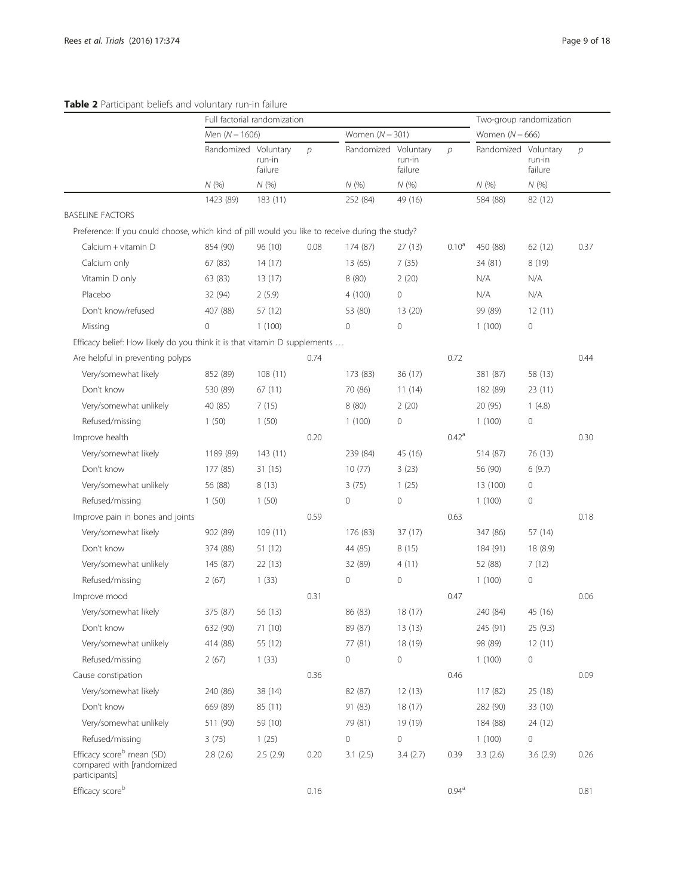# <span id="page-8-0"></span>Table 2 Participant beliefs and voluntary run-in failure

|                                                                                                 | Full factorial randomization |                   |               |                      |                   |                   | Two-group randomization |                   |               |
|-------------------------------------------------------------------------------------------------|------------------------------|-------------------|---------------|----------------------|-------------------|-------------------|-------------------------|-------------------|---------------|
|                                                                                                 | Men $(N = 1606)$             |                   |               | Women $(N = 301)$    |                   |                   | Women $(N = 666)$       |                   |               |
|                                                                                                 | Randomized Voluntary         | run-in<br>failure | $\mathcal{D}$ | Randomized Voluntary | run-in<br>failure | $\mathcal{D}$     | Randomized Voluntary    | run-in<br>failure | $\mathcal{P}$ |
|                                                                                                 | N(%)                         | N(%)              |               | N(%                  | N(%)              |                   | N(%)                    | N(%               |               |
|                                                                                                 | 1423 (89)                    | 183(11)           |               | 252 (84)             | 49 (16)           |                   | 584 (88)                | 82 (12)           |               |
| <b>BASELINE FACTORS</b>                                                                         |                              |                   |               |                      |                   |                   |                         |                   |               |
| Preference: If you could choose, which kind of pill would you like to receive during the study? |                              |                   |               |                      |                   |                   |                         |                   |               |
| Calcium + vitamin D                                                                             | 854 (90)                     | 96 (10)           | 0.08          | 174 (87)             | 27(13)            | 0.10 <sup>a</sup> | 450 (88)                | 62 (12)           | 0.37          |
| Calcium only                                                                                    | 67 (83)                      | 14(17)            |               | 13(65)               | 7(35)             |                   | 34 (81)                 | 8(19)             |               |
| Vitamin D only                                                                                  | 63 (83)                      | 13(17)            |               | 8(80)                | 2(20)             |                   | N/A                     | N/A               |               |
| Placebo                                                                                         | 32 (94)                      | 2(5.9)            |               | 4(100)               | 0                 |                   | N/A                     | N/A               |               |
| Don't know/refused                                                                              | 407 (88)                     | 57 (12)           |               | 53 (80)              | 13(20)            |                   | 99 (89)                 | 12(11)            |               |
| Missing                                                                                         | $\mathbf 0$                  | 1(100)            |               | 0                    | $\mathbf 0$       |                   | 1(100)                  | 0                 |               |
| Efficacy belief: How likely do you think it is that vitamin D supplements                       |                              |                   |               |                      |                   |                   |                         |                   |               |
| Are helpful in preventing polyps                                                                |                              |                   | 0.74          |                      |                   | 0.72              |                         |                   | 0.44          |
| Very/somewhat likely                                                                            | 852 (89)                     | 108(11)           |               | 173 (83)             | 36 (17)           |                   | 381 (87)                | 58 (13)           |               |
| Don't know                                                                                      | 530 (89)                     | 67(11)            |               | 70 (86)              | 11(14)            |                   | 182 (89)                | 23(11)            |               |
| Very/somewhat unlikely                                                                          | 40 (85)                      | 7(15)             |               | 8(80)                | 2(20)             |                   | 20 (95)                 | 1(4.8)            |               |
| Refused/missing                                                                                 | 1(50)                        | 1(50)             |               | 1(100)               | 0                 |                   | 1(100)                  | 0                 |               |
| Improve health                                                                                  |                              |                   | 0.20          |                      |                   | $0.42^a$          |                         |                   | 0.30          |
| Very/somewhat likely                                                                            | 1189 (89)                    | 143(11)           |               | 239 (84)             | 45 (16)           |                   | 514 (87)                | 76 (13)           |               |
| Don't know                                                                                      | 177 (85)                     | 31(15)            |               | 10(77)               | 3(23)             |                   | 56 (90)                 | 6(9.7)            |               |
| Very/somewhat unlikely                                                                          | 56 (88)                      | 8(13)             |               | 3(75)                | 1(25)             |                   | 13 (100)                | 0                 |               |
| Refused/missing                                                                                 | 1(50)                        | 1(50)             |               | $\mathbf 0$          | 0                 |                   | 1(100)                  | 0                 |               |
| Improve pain in bones and joints                                                                |                              |                   | 0.59          |                      |                   | 0.63              |                         |                   | 0.18          |
| Very/somewhat likely                                                                            | 902 (89)                     | 109(11)           |               | 176 (83)             | 37 (17)           |                   | 347 (86)                | 57 (14)           |               |
| Don't know                                                                                      | 374 (88)                     | 51 (12)           |               | 44 (85)              | 8(15)             |                   | 184 (91)                | 18 (8.9)          |               |
| Very/somewhat unlikely                                                                          | 145 (87)                     | 22(13)            |               | 32 (89)              | 4(11)             |                   | 52 (88)                 | 7(12)             |               |
| Refused/missing                                                                                 | 2(67)                        | 1(33)             |               | 0                    | 0                 |                   | 1(100)                  | 0                 |               |
| Improve mood                                                                                    |                              |                   | 0.31          |                      |                   | 0.47              |                         |                   | 0.06          |
| Very/somewhat likely                                                                            | 375 (87)                     | 56 (13)           |               | 86 (83)              | 18 (17)           |                   | 240 (84)                | 45 (16)           |               |
| Don't know                                                                                      | 632 (90)                     | 71 (10)           |               | 89 (87)              | 13(13)            |                   | 245 (91)                | 25 (9.3)          |               |
| Very/somewhat unlikely                                                                          | 414 (88)                     | 55 (12)           |               | 77 (81)              | 18 (19)           |                   | 98 (89)                 | 12(11)            |               |
| Refused/missing                                                                                 | 2(67)                        | 1(33)             |               | 0                    | 0                 |                   | 1(100)                  | 0                 |               |
| Cause constipation                                                                              |                              |                   | 0.36          |                      |                   | 0.46              |                         |                   | 0.09          |
| Very/somewhat likely                                                                            | 240 (86)                     | 38 (14)           |               | 82 (87)              | 12(13)            |                   | 117 (82)                | 25 (18)           |               |
| Don't know                                                                                      | 669 (89)                     | 85 (11)           |               | 91 (83)              | 18(17)            |                   | 282 (90)                | 33 (10)           |               |
| Very/somewhat unlikely                                                                          | 511 (90)                     | 59 (10)           |               | 79 (81)              | 19 (19)           |                   | 184 (88)                | 24 (12)           |               |
| Refused/missing                                                                                 | 3(75)                        | 1(25)             |               | $\mathbf 0$          | 0                 |                   | 1(100)                  | 0                 |               |
| Efficacy score <sup>b</sup> mean (SD)<br>compared with [randomized<br>participants]             | 2.8(2.6)                     | 2.5(2.9)          | 0.20          | 3.1(2.5)             | 3.4(2.7)          | 0.39              | 3.3(2.6)                | 3.6(2.9)          | 0.26          |
| Efficacy scoreb                                                                                 |                              |                   | 0.16          |                      |                   | 0.94 <sup>a</sup> |                         |                   | 0.81          |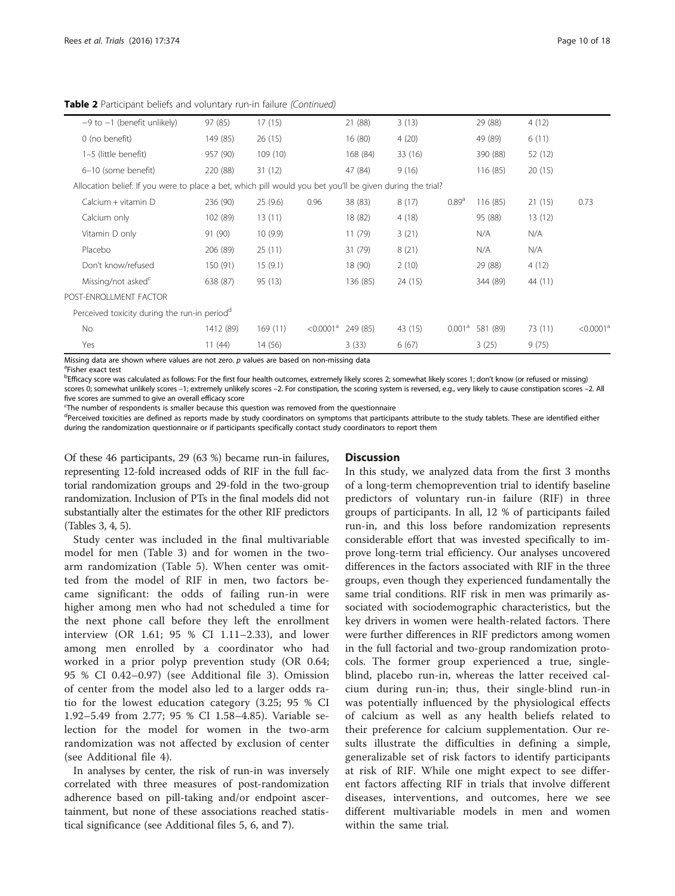| $-9$ to $-1$ (benefit unlikely)                                                                           | 97 (85)   | 17(15)  |                          | 21 (88)  | 3(13)   |                    | 29 (88)  | 4(12)   |                       |
|-----------------------------------------------------------------------------------------------------------|-----------|---------|--------------------------|----------|---------|--------------------|----------|---------|-----------------------|
| 0 (no benefit)                                                                                            | 149 (85)  | 26(15)  |                          | 16(80)   | 4(20)   |                    | 49 (89)  | 6(11)   |                       |
| 1-5 (little benefit)                                                                                      | 957 (90)  | 109(10) |                          | 168 (84) | 33 (16) |                    | 390 (88) | 52 (12) |                       |
| 6-10 (some benefit)                                                                                       | 220 (88)  | 31(12)  |                          | 47 (84)  | 9(16)   |                    | 116 (85) | 20(15)  |                       |
| Allocation belief: If you were to place a bet, which pill would you bet you'll be given during the trial? |           |         |                          |          |         |                    |          |         |                       |
| $Calcium + vitamin D$                                                                                     | 236 (90)  | 25(9.6) | 0.96                     | 38 (83)  | 8(17)   | 0.89 <sup>a</sup>  | 116 (85) | 21(15)  | 0.73                  |
| Calcium only                                                                                              | 102 (89)  | 13(11)  |                          | 18 (82)  | 4(18)   |                    | 95 (88)  | 13(12)  |                       |
| Vitamin D only                                                                                            | 91 (90)   | 10(9.9) |                          | 11(79)   | 3(21)   |                    | N/A      | N/A     |                       |
| Placebo                                                                                                   | 206 (89)  | 25(11)  |                          | 31 (79)  | 8(21)   |                    | N/A      | N/A     |                       |
| Don't know/refused                                                                                        | 150 (91)  | 15(9.1) |                          | 18 (90)  | 2(10)   |                    | 29 (88)  | 4(12)   |                       |
| Missing/not asked <sup>c</sup>                                                                            | 638 (87)  | 95 (13) |                          | 136 (85) | 24 (15) |                    | 344 (89) | 44 (11) |                       |
| POST-ENROLLMENT FACTOR                                                                                    |           |         |                          |          |         |                    |          |         |                       |
| Perceived toxicity during the run-in period <sup>d</sup>                                                  |           |         |                          |          |         |                    |          |         |                       |
| No                                                                                                        | 1412 (89) | 169(11) | $\leq 0.0001^a$ 249 (85) |          | 43 (15) | 0.001 <sup>a</sup> | 581 (89) | 73 (11) | < 0.0001 <sup>a</sup> |
| Yes                                                                                                       | 11(44)    | 14 (56) |                          | 3(33)    | 6(67)   |                    | 3(25)    | 9(75)   |                       |

Table 2 Participant beliefs and voluntary run-in failure (Continued)

Missing data are shown where values are not zero.  $p$  values are based on non-missing data <sup>a</sup>Fisher exact test

<sup>b</sup>Efficacy score was calculated as follows: For the first four health outcomes, extremely likely scores 2; somewhat likely scores 1; don't know (or refused or missing) scores 0; somewhat unlikely scores –1; extremely unlikely scores –2. For constipation, the scoring system is reversed, e.g., very likely to cause constipation scores –2. All five scores are summed to give an overall efficacy score

The number of respondents is smaller because this question was removed from the questionnaire

<sup>d</sup>Perceived toxicities are defined as reports made by study coordinators on symptoms that participants attribute to the study tablets. These are identified either during the randomization questionnaire or if participants specifically contact study coordinators to report them

Of these 46 participants, 29 (63 %) became run-in failures, representing 12-fold increased odds of RIF in the full factorial randomization groups and 29-fold in the two-group randomization. Inclusion of PTs in the final models did not substantially alter the estimates for the other RIF predictors (Tables [3,](#page-10-0) [4](#page-12-0), [5](#page-13-0)).

Study center was included in the final multivariable model for men (Table [3\)](#page-10-0) and for women in the twoarm randomization (Table [5](#page-13-0)). When center was omitted from the model of RIF in men, two factors became significant: the odds of failing run-in were higher among men who had not scheduled a time for the next phone call before they left the enrollment interview (OR 1.61; 95 % CI 1.11–2.33), and lower among men enrolled by a coordinator who had worked in a prior polyp prevention study (OR 0.64; 95 % CI 0.42–0.97) (see Additional file [3](#page-16-0)). Omission of center from the model also led to a larger odds ratio for the lowest education category (3.25; 95 % CI 1.92–5.49 from 2.77; 95 % CI 1.58–4.85). Variable selection for the model for women in the two-arm randomization was not affected by exclusion of center (see Additional file [4](#page-16-0)).

In analyses by center, the risk of run-in was inversely correlated with three measures of post-randomization adherence based on pill-taking and/or endpoint ascertainment, but none of these associations reached statistical significance (see Additional files [5, 6,](#page-16-0) and [7](#page-16-0)).

# **Discussion**

In this study, we analyzed data from the first 3 months of a long-term chemoprevention trial to identify baseline predictors of voluntary run-in failure (RIF) in three groups of participants. In all, 12 % of participants failed run-in, and this loss before randomization represents considerable effort that was invested specifically to improve long-term trial efficiency. Our analyses uncovered differences in the factors associated with RIF in the three groups, even though they experienced fundamentally the same trial conditions. RIF risk in men was primarily associated with sociodemographic characteristics, but the key drivers in women were health-related factors. There were further differences in RIF predictors among women in the full factorial and two-group randomization protocols. The former group experienced a true, singleblind, placebo run-in, whereas the latter received calcium during run-in; thus, their single-blind run-in was potentially influenced by the physiological effects of calcium as well as any health beliefs related to their preference for calcium supplementation. Our results illustrate the difficulties in defining a simple, generalizable set of risk factors to identify participants at risk of RIF. While one might expect to see different factors affecting RIF in trials that involve different diseases, interventions, and outcomes, here we see different multivariable models in men and women within the same trial.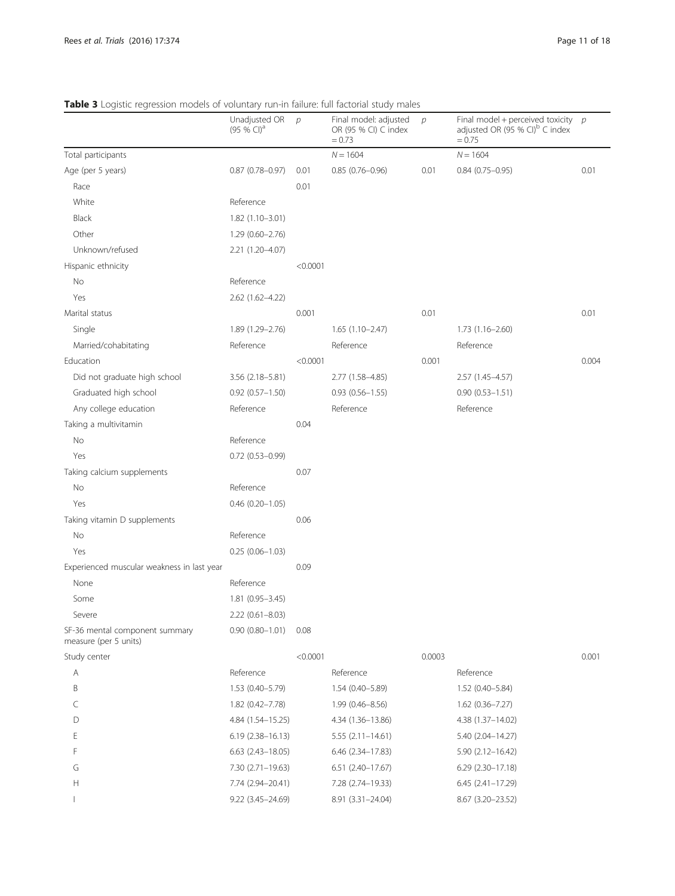<span id="page-10-0"></span>Table 3 Logistic regression models of voluntary run-in failure: full factorial study males

|                                                         | Unadjusted OR<br>$(95%$ CI) <sup>a</sup> | $\mathcal{P}$ | Final model: adjusted<br>OR (95 % CI) C index<br>$= 0.73$ | $\mathcal{D}$ | Final model + perceived toxicity $p$<br>adjusted OR (95 % CI) <sup>b</sup> C index<br>$= 0.75$ |       |
|---------------------------------------------------------|------------------------------------------|---------------|-----------------------------------------------------------|---------------|------------------------------------------------------------------------------------------------|-------|
| Total participants                                      |                                          |               | $N = 1604$                                                |               | $N = 1604$                                                                                     |       |
| Age (per 5 years)                                       | $0.87$ (0.78-0.97)                       | 0.01          | $0.85(0.76 - 0.96)$                                       | 0.01          | $0.84(0.75 - 0.95)$                                                                            | 0.01  |
| Race                                                    |                                          | 0.01          |                                                           |               |                                                                                                |       |
| White                                                   | Reference                                |               |                                                           |               |                                                                                                |       |
| <b>Black</b>                                            | $1.82(1.10-3.01)$                        |               |                                                           |               |                                                                                                |       |
| Other                                                   | $1.29(0.60 - 2.76)$                      |               |                                                           |               |                                                                                                |       |
| Unknown/refused                                         | 2.21 (1.20-4.07)                         |               |                                                           |               |                                                                                                |       |
| Hispanic ethnicity                                      |                                          | < 0.0001      |                                                           |               |                                                                                                |       |
| No                                                      | Reference                                |               |                                                           |               |                                                                                                |       |
| Yes                                                     | 2.62 (1.62-4.22)                         |               |                                                           |               |                                                                                                |       |
| Marital status                                          |                                          | 0.001         |                                                           | 0.01          |                                                                                                | 0.01  |
| Single                                                  | 1.89 (1.29-2.76)                         |               | $1.65(1.10-2.47)$                                         |               | $1.73(1.16 - 2.60)$                                                                            |       |
| Married/cohabitating                                    | Reference                                |               | Reference                                                 |               | Reference                                                                                      |       |
| Education                                               |                                          | < 0.0001      |                                                           | 0.001         |                                                                                                | 0.004 |
| Did not graduate high school                            | 3.56 (2.18-5.81)                         |               | 2.77 (1.58-4.85)                                          |               | 2.57 (1.45-4.57)                                                                               |       |
| Graduated high school                                   | $0.92(0.57 - 1.50)$                      |               | $0.93(0.56 - 1.55)$                                       |               | $0.90(0.53 - 1.51)$                                                                            |       |
| Any college education                                   | Reference                                |               | Reference                                                 |               | Reference                                                                                      |       |
| Taking a multivitamin                                   |                                          | 0.04          |                                                           |               |                                                                                                |       |
| No                                                      | Reference                                |               |                                                           |               |                                                                                                |       |
| Yes                                                     | $0.72$ $(0.53 - 0.99)$                   |               |                                                           |               |                                                                                                |       |
| Taking calcium supplements                              |                                          | 0.07          |                                                           |               |                                                                                                |       |
| No                                                      | Reference                                |               |                                                           |               |                                                                                                |       |
| Yes                                                     | $0.46$ $(0.20 - 1.05)$                   |               |                                                           |               |                                                                                                |       |
| Taking vitamin D supplements                            |                                          | 0.06          |                                                           |               |                                                                                                |       |
| No                                                      | Reference                                |               |                                                           |               |                                                                                                |       |
| Yes                                                     | $0.25(0.06 - 1.03)$                      |               |                                                           |               |                                                                                                |       |
| Experienced muscular weakness in last year              |                                          | 0.09          |                                                           |               |                                                                                                |       |
| None                                                    | Reference                                |               |                                                           |               |                                                                                                |       |
| Some                                                    | $1.81(0.95 - 3.45)$                      |               |                                                           |               |                                                                                                |       |
| Severe                                                  | 2.22 (0.61-8.03)                         |               |                                                           |               |                                                                                                |       |
| SF-36 mental component summary<br>measure (per 5 units) | $0.90(0.80 - 1.01)$                      | 0.08          |                                                           |               |                                                                                                |       |
| Study center                                            |                                          | < 0.0001      |                                                           | 0.0003        |                                                                                                | 0.001 |
| Α                                                       | Reference                                |               | Reference                                                 |               | Reference                                                                                      |       |
| B                                                       | $1.53(0.40 - 5.79)$                      |               | $1.54(0.40 - 5.89)$                                       |               | 1.52 (0.40-5.84)                                                                               |       |
| C                                                       | 1.82 (0.42-7.78)                         |               | $1.99(0.46 - 8.56)$                                       |               | $1.62(0.36 - 7.27)$                                                                            |       |
| D                                                       | 4.84 (1.54-15.25)                        |               | 4.34 (1.36-13.86)                                         |               | 4.38 (1.37-14.02)                                                                              |       |
| E                                                       | $6.19(2.38 - 16.13)$                     |               | $5.55(2.11-14.61)$                                        |               | 5.40 (2.04-14.27)                                                                              |       |
| F                                                       | $6.63$ $(2.43 - 18.05)$                  |               | 6.46 (2.34-17.83)                                         |               | $5.90(2.12 - 16.42)$                                                                           |       |
| G                                                       | 7.30 (2.71-19.63)                        |               | 6.51 (2.40-17.67)                                         |               | $6.29$ $(2.30-17.18)$                                                                          |       |
| Н                                                       | 7.74 (2.94-20.41)                        |               | 7.28 (2.74-19.33)                                         |               | $6.45(2.41 - 17.29)$                                                                           |       |
| $\overline{\phantom{a}}$                                | 9.22 (3.45-24.69)                        |               | 8.91 (3.31-24.04)                                         |               | 8.67 (3.20-23.52)                                                                              |       |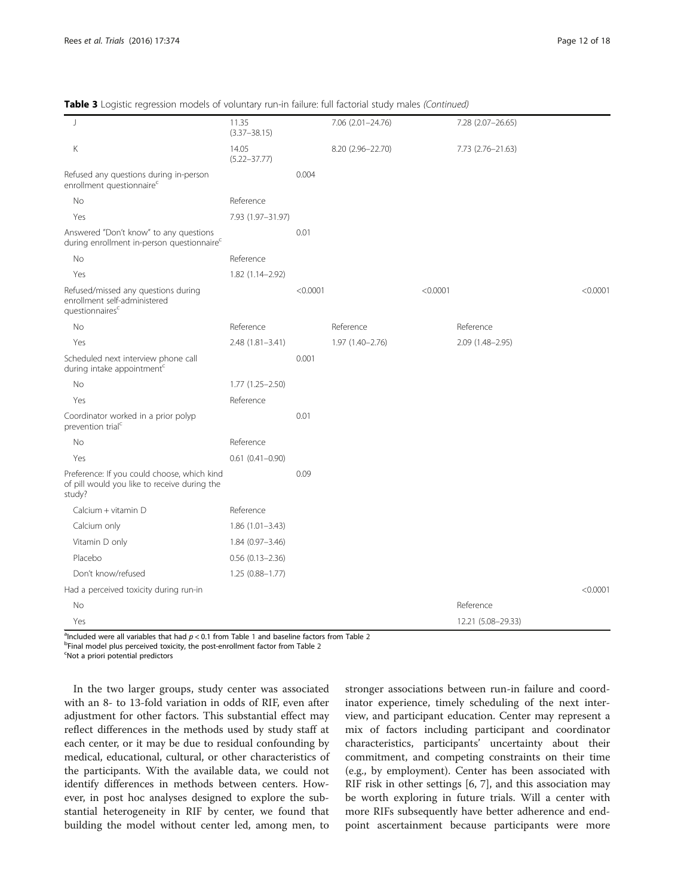| $\vert$                                                                                               | 11.35<br>$(3.37 - 38.15)$ |          | 7.06 (2.01-24.76) |          | 7.28 (2.07-26.65)  |          |
|-------------------------------------------------------------------------------------------------------|---------------------------|----------|-------------------|----------|--------------------|----------|
| Κ                                                                                                     | 14.05<br>$(5.22 - 37.77)$ |          | 8.20 (2.96-22.70) |          | 7.73 (2.76-21.63)  |          |
| Refused any questions during in-person<br>enrollment questionnaire <sup>c</sup>                       |                           | 0.004    |                   |          |                    |          |
| <b>No</b>                                                                                             | Reference                 |          |                   |          |                    |          |
| Yes                                                                                                   | 7.93 (1.97-31.97)         |          |                   |          |                    |          |
| Answered "Don't know" to any questions<br>during enrollment in-person questionnaire <sup>c</sup>      |                           | 0.01     |                   |          |                    |          |
| No                                                                                                    | Reference                 |          |                   |          |                    |          |
| Yes                                                                                                   | 1.82 (1.14-2.92)          |          |                   |          |                    |          |
| Refused/missed any questions during<br>enrollment self-administered<br>questionnaires <sup>c</sup>    |                           | < 0.0001 |                   | < 0.0001 |                    | < 0.0001 |
| <b>No</b>                                                                                             | Reference                 |          | Reference         |          | Reference          |          |
| Yes                                                                                                   | $2.48(1.81 - 3.41)$       |          | 1.97 (1.40-2.76)  |          | 2.09 (1.48-2.95)   |          |
| Scheduled next interview phone call<br>during intake appointment <sup>c</sup>                         |                           | 0.001    |                   |          |                    |          |
| No                                                                                                    | $1.77(1.25 - 2.50)$       |          |                   |          |                    |          |
| Yes                                                                                                   | Reference                 |          |                   |          |                    |          |
| Coordinator worked in a prior polyp<br>prevention trial <sup>c</sup>                                  |                           | 0.01     |                   |          |                    |          |
| No                                                                                                    | Reference                 |          |                   |          |                    |          |
| Yes                                                                                                   | $0.61(0.41 - 0.90)$       |          |                   |          |                    |          |
| Preference: If you could choose, which kind<br>of pill would you like to receive during the<br>study? |                           | 0.09     |                   |          |                    |          |
| Calcium + vitamin D                                                                                   | Reference                 |          |                   |          |                    |          |
| Calcium only                                                                                          | $1.86(1.01 - 3.43)$       |          |                   |          |                    |          |
| Vitamin D only                                                                                        | $1.84(0.97 - 3.46)$       |          |                   |          |                    |          |
| Placebo                                                                                               | $0.56$ $(0.13 - 2.36)$    |          |                   |          |                    |          |
| Don't know/refused                                                                                    | $1.25(0.88 - 1.77)$       |          |                   |          |                    |          |
| Had a perceived toxicity during run-in                                                                |                           |          |                   |          |                    | < 0.0001 |
| No                                                                                                    |                           |          |                   |          | Reference          |          |
| Yes                                                                                                   |                           |          |                   |          | 12.21 (5.08-29.33) |          |

Table 3 Logistic regression models of voluntary run-in failure: full factorial study males (Continued)

<sup>a</sup>lncluded were all variables that had  $p < 0.1$  $p < 0.1$  from Table 1 and baseline factors from Table [2](#page-8-0)<br><sup>b</sup>Einal model plus perceived toxicity, the post-enrollment factor from Table 2

<sup>b</sup>Final model plus perceived toxicity, the post-enrollment factor from Table [2](#page-8-0)

Not a priori potential predictors

In the two larger groups, study center was associated with an 8- to 13-fold variation in odds of RIF, even after adjustment for other factors. This substantial effect may reflect differences in the methods used by study staff at each center, or it may be due to residual confounding by medical, educational, cultural, or other characteristics of the participants. With the available data, we could not identify differences in methods between centers. However, in post hoc analyses designed to explore the substantial heterogeneity in RIF by center, we found that building the model without center led, among men, to

stronger associations between run-in failure and coordinator experience, timely scheduling of the next interview, and participant education. Center may represent a mix of factors including participant and coordinator characteristics, participants' uncertainty about their commitment, and competing constraints on their time (e.g., by employment). Center has been associated with RIF risk in other settings [[6, 7\]](#page-17-0), and this association may be worth exploring in future trials. Will a center with more RIFs subsequently have better adherence and endpoint ascertainment because participants were more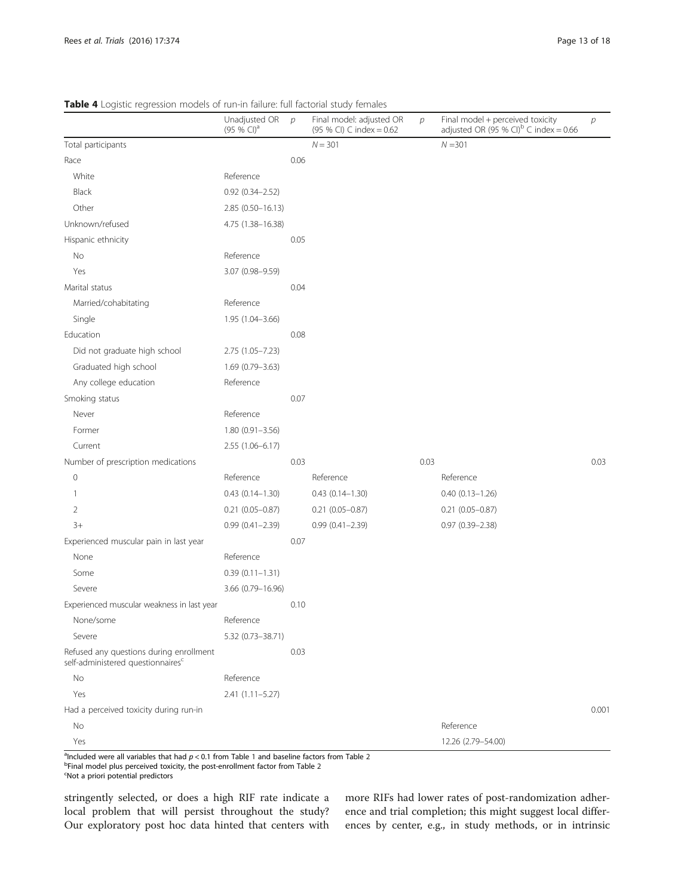<span id="page-12-0"></span>Table 4 Logistic regression models of run-in failure: full factorial study females

|                                                                                          | Unadjusted OR<br>$(95 % Cl)^{a}$ | $\mathcal{D}$ | Final model: adjusted OR<br>(95 % CI) C index = 0.62 | $\mathcal{D}$ | Final model + perceived toxicity<br>adjusted OR (95 % CI) <sup>b</sup> C index = 0.66 | $\overline{p}$ |
|------------------------------------------------------------------------------------------|----------------------------------|---------------|------------------------------------------------------|---------------|---------------------------------------------------------------------------------------|----------------|
| Total participants                                                                       |                                  |               | $N = 301$                                            |               | $N = 301$                                                                             |                |
| Race                                                                                     |                                  | 0.06          |                                                      |               |                                                                                       |                |
| White                                                                                    | Reference                        |               |                                                      |               |                                                                                       |                |
| <b>Black</b>                                                                             | $0.92(0.34 - 2.52)$              |               |                                                      |               |                                                                                       |                |
| Other                                                                                    | $2.85(0.50-16.13)$               |               |                                                      |               |                                                                                       |                |
| Unknown/refused                                                                          | 4.75 (1.38-16.38)                |               |                                                      |               |                                                                                       |                |
| Hispanic ethnicity                                                                       |                                  | 0.05          |                                                      |               |                                                                                       |                |
| No                                                                                       | Reference                        |               |                                                      |               |                                                                                       |                |
| Yes                                                                                      | 3.07 (0.98-9.59)                 |               |                                                      |               |                                                                                       |                |
| Marital status                                                                           |                                  | 0.04          |                                                      |               |                                                                                       |                |
| Married/cohabitating                                                                     | Reference                        |               |                                                      |               |                                                                                       |                |
| Single                                                                                   | 1.95 (1.04-3.66)                 |               |                                                      |               |                                                                                       |                |
| Education                                                                                |                                  | 0.08          |                                                      |               |                                                                                       |                |
| Did not graduate high school                                                             | $2.75(1.05 - 7.23)$              |               |                                                      |               |                                                                                       |                |
| Graduated high school                                                                    | 1.69 (0.79-3.63)                 |               |                                                      |               |                                                                                       |                |
| Any college education                                                                    | Reference                        |               |                                                      |               |                                                                                       |                |
| Smoking status                                                                           |                                  | 0.07          |                                                      |               |                                                                                       |                |
| Never                                                                                    | Reference                        |               |                                                      |               |                                                                                       |                |
| Former                                                                                   | $1.80(0.91 - 3.56)$              |               |                                                      |               |                                                                                       |                |
| Current                                                                                  | 2.55 (1.06-6.17)                 |               |                                                      |               |                                                                                       |                |
| Number of prescription medications                                                       |                                  | 0.03          |                                                      | 0.03          |                                                                                       | 0.03           |
| 0                                                                                        | Reference                        |               | Reference                                            |               | Reference                                                                             |                |
| 1                                                                                        | $0.43(0.14 - 1.30)$              |               | $0.43(0.14 - 1.30)$                                  |               | $0.40(0.13 - 1.26)$                                                                   |                |
| 2                                                                                        | $0.21$ (0.05-0.87)               |               | $0.21$ (0.05-0.87)                                   |               | $0.21$ (0.05-0.87)                                                                    |                |
| $3+$                                                                                     | $0.99(0.41 - 2.39)$              |               | $0.99(0.41 - 2.39)$                                  |               | $0.97$ $(0.39 - 2.38)$                                                                |                |
| Experienced muscular pain in last year                                                   |                                  | 0.07          |                                                      |               |                                                                                       |                |
| None                                                                                     | Reference                        |               |                                                      |               |                                                                                       |                |
| Some                                                                                     | $0.39(0.11 - 1.31)$              |               |                                                      |               |                                                                                       |                |
| Severe                                                                                   | 3.66 (0.79-16.96)                |               |                                                      |               |                                                                                       |                |
| Experienced muscular weakness in last year                                               |                                  | 0.10          |                                                      |               |                                                                                       |                |
| None/some                                                                                | Reference                        |               |                                                      |               |                                                                                       |                |
| Severe                                                                                   | 5.32 (0.73-38.71)                |               |                                                      |               |                                                                                       |                |
| Refused any questions during enrollment<br>self-administered questionnaires <sup>c</sup> |                                  | 0.03          |                                                      |               |                                                                                       |                |
| No                                                                                       | Reference                        |               |                                                      |               |                                                                                       |                |
| Yes                                                                                      | 2.41 (1.11-5.27)                 |               |                                                      |               |                                                                                       |                |
| Had a perceived toxicity during run-in                                                   |                                  |               |                                                      |               |                                                                                       | 0.001          |
| No                                                                                       |                                  |               |                                                      |               | Reference                                                                             |                |
| Yes                                                                                      |                                  |               |                                                      |               | 12.26 (2.79-54.00)                                                                    |                |

<sup>a</sup>lncluded were all variables that had  $p < 0.1$  $p < 0.1$  from Table 1 and baseline factors from Table [2](#page-8-0)<br>beinal model plus persolved toxisity the post ensellment factor from Table 2

 $b$ Final model plus perceived toxicity, the post-enrollment factor from Table [2](#page-8-0)

Not a priori potential predictors

stringently selected, or does a high RIF rate indicate a local problem that will persist throughout the study? Our exploratory post hoc data hinted that centers with more RIFs had lower rates of post-randomization adherence and trial completion; this might suggest local differences by center, e.g., in study methods, or in intrinsic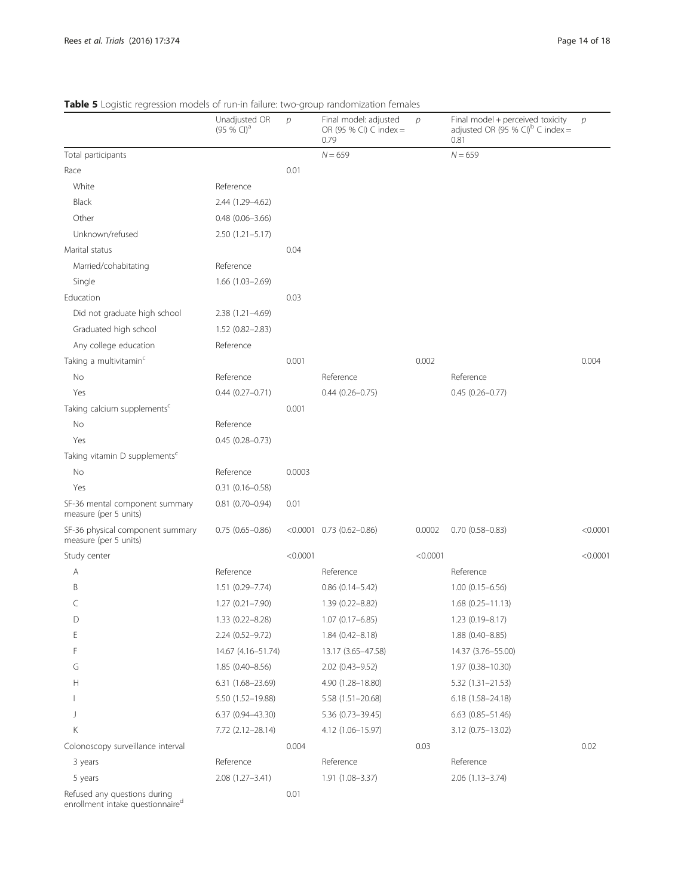|                                                                              | Unadjusted OR<br>$(95%$ CI) <sup>a</sup> | $\mathcal{D}$ | Final model: adjusted<br>OR (95 % CI) C index =<br>0.79 | $\mathcal{D}$ | Final model + perceived toxicity<br>adjusted OR (95 % CI) <sup>b</sup> C index =<br>0.81 | $\mathcal{D}$ |
|------------------------------------------------------------------------------|------------------------------------------|---------------|---------------------------------------------------------|---------------|------------------------------------------------------------------------------------------|---------------|
| Total participants                                                           |                                          |               | $N = 659$                                               |               | $N = 659$                                                                                |               |
| Race                                                                         |                                          | 0.01          |                                                         |               |                                                                                          |               |
| White                                                                        | Reference                                |               |                                                         |               |                                                                                          |               |
| <b>Black</b>                                                                 | 2.44 (1.29-4.62)                         |               |                                                         |               |                                                                                          |               |
| Other                                                                        | $0.48$ $(0.06 - 3.66)$                   |               |                                                         |               |                                                                                          |               |
| Unknown/refused                                                              | $2.50(1.21 - 5.17)$                      |               |                                                         |               |                                                                                          |               |
| Marital status                                                               |                                          | 0.04          |                                                         |               |                                                                                          |               |
| Married/cohabitating                                                         | Reference                                |               |                                                         |               |                                                                                          |               |
| Single                                                                       | $1.66(1.03 - 2.69)$                      |               |                                                         |               |                                                                                          |               |
| Education                                                                    |                                          | 0.03          |                                                         |               |                                                                                          |               |
| Did not graduate high school                                                 | 2.38 (1.21-4.69)                         |               |                                                         |               |                                                                                          |               |
| Graduated high school                                                        | $1.52(0.82 - 2.83)$                      |               |                                                         |               |                                                                                          |               |
| Any college education                                                        | Reference                                |               |                                                         |               |                                                                                          |               |
| Taking a multivitamin <sup>c</sup>                                           |                                          | 0.001         |                                                         | 0.002         |                                                                                          | 0.004         |
| No                                                                           | Reference                                |               | Reference                                               |               | Reference                                                                                |               |
| Yes                                                                          | $0.44(0.27 - 0.71)$                      |               | $0.44(0.26 - 0.75)$                                     |               | $0.45(0.26 - 0.77)$                                                                      |               |
| Taking calcium supplements <sup>c</sup>                                      |                                          | 0.001         |                                                         |               |                                                                                          |               |
| No                                                                           | Reference                                |               |                                                         |               |                                                                                          |               |
| Yes                                                                          | $0.45(0.28 - 0.73)$                      |               |                                                         |               |                                                                                          |               |
| Taking vitamin D supplements <sup>c</sup>                                    |                                          |               |                                                         |               |                                                                                          |               |
| No                                                                           | Reference                                | 0.0003        |                                                         |               |                                                                                          |               |
| Yes                                                                          | $0.31(0.16 - 0.58)$                      |               |                                                         |               |                                                                                          |               |
| SF-36 mental component summary<br>measure (per 5 units)                      | $0.81$ (0.70-0.94)                       | 0.01          |                                                         |               |                                                                                          |               |
| SF-36 physical component summary<br>measure (per 5 units)                    | $0.75(0.65 - 0.86)$                      |               | $< 0.0001$ 0.73 (0.62-0.86)                             | 0.0002        | $0.70(0.58 - 0.83)$                                                                      | < 0.0001      |
| Study center                                                                 |                                          | < 0.0001      |                                                         | < 0.0001      |                                                                                          | < 0.0001      |
| Α                                                                            | Reference                                |               | Reference                                               |               | Reference                                                                                |               |
| B                                                                            | $1.51(0.29 - 7.74)$                      |               | $0.86$ $(0.14 - 5.42)$                                  |               | $1.00(0.15 - 6.56)$                                                                      |               |
| C                                                                            | $1.27(0.21 - 7.90)$                      |               | 1.39 (0.22-8.82)                                        |               | $1.68(0.25 - 11.13)$                                                                     |               |
| D                                                                            | 1.33 (0.22-8.28)                         |               | $1.07(0.17 - 6.85)$                                     |               | 1.23 (0.19-8.17)                                                                         |               |
| Ε                                                                            | 2.24 (0.52-9.72)                         |               | $1.84(0.42 - 8.18)$                                     |               | 1.88 (0.40-8.85)                                                                         |               |
| F                                                                            | 14.67 (4.16-51.74)                       |               | 13.17 (3.65-47.58)                                      |               | 14.37 (3.76-55.00)                                                                       |               |
| G                                                                            | $1.85(0.40 - 8.56)$                      |               | 2.02 (0.43-9.52)                                        |               | 1.97 (0.38-10.30)                                                                        |               |
| Н                                                                            | 6.31 (1.68-23.69)                        |               | 4.90 (1.28-18.80)                                       |               | $5.32(1.31 - 21.53)$                                                                     |               |
|                                                                              | 5.50 (1.52-19.88)                        |               | $5.58(1.51 - 20.68)$                                    |               | $6.18(1.58 - 24.18)$                                                                     |               |
| J                                                                            | $6.37(0.94 - 43.30)$                     |               | 5.36 (0.73-39.45)                                       |               | $6.63$ $(0.85 - 51.46)$                                                                  |               |
| Κ                                                                            | 7.72 (2.12-28.14)                        |               | 4.12 (1.06-15.97)                                       |               | $3.12(0.75 - 13.02)$                                                                     |               |
| Colonoscopy surveillance interval                                            |                                          | 0.004         |                                                         | 0.03          |                                                                                          | 0.02          |
| 3 years                                                                      | Reference                                |               | Reference                                               |               | Reference                                                                                |               |
| 5 years                                                                      | 2.08 (1.27-3.41)                         |               | 1.91 (1.08-3.37)                                        |               | $2.06(1.13 - 3.74)$                                                                      |               |
| Refused any questions during<br>enrollment intake questionnaire <sup>d</sup> |                                          | 0.01          |                                                         |               |                                                                                          |               |

# <span id="page-13-0"></span>Table 5 Logistic regression models of run-in failure: two-group randomization females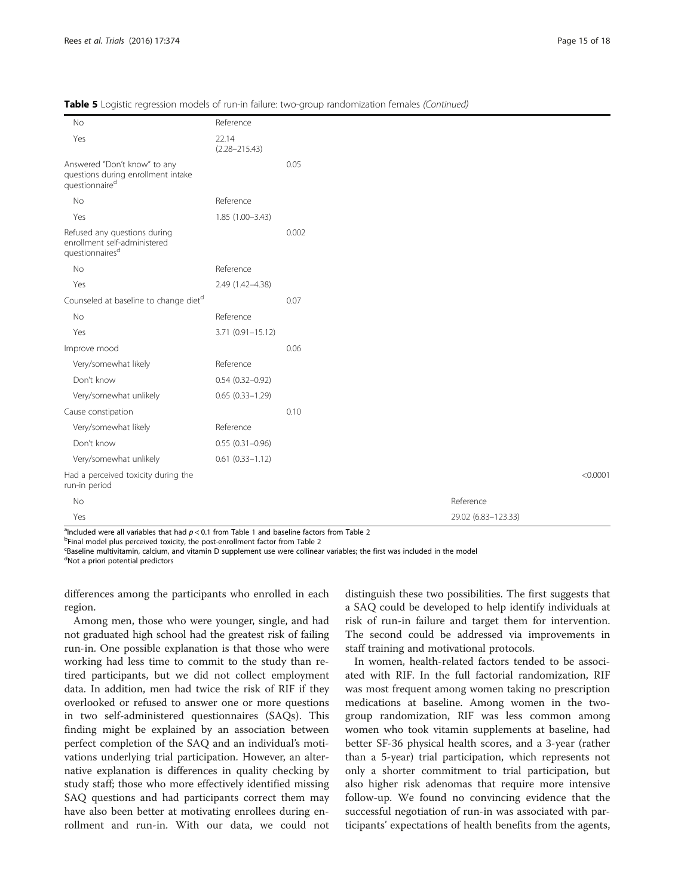| No                                                                                               | Reference                  |       |                     |          |
|--------------------------------------------------------------------------------------------------|----------------------------|-------|---------------------|----------|
| Yes                                                                                              | 22.14<br>$(2.28 - 215.43)$ |       |                     |          |
| Answered "Don't know" to any<br>questions during enrollment intake<br>questionnaire <sup>d</sup> |                            | 0.05  |                     |          |
| <b>No</b>                                                                                        | Reference                  |       |                     |          |
| Yes                                                                                              | $1.85(1.00 - 3.43)$        |       |                     |          |
| Refused any questions during<br>enrollment self-administered<br>questionnaires <sup>d</sup>      |                            | 0.002 |                     |          |
| No                                                                                               | Reference                  |       |                     |          |
| Yes                                                                                              | 2.49 (1.42-4.38)           |       |                     |          |
| Counseled at baseline to change diet <sup>d</sup>                                                |                            | 0.07  |                     |          |
| No                                                                                               | Reference                  |       |                     |          |
| Yes                                                                                              | $3.71(0.91 - 15.12)$       |       |                     |          |
| Improve mood                                                                                     |                            | 0.06  |                     |          |
| Very/somewhat likely                                                                             | Reference                  |       |                     |          |
| Don't know                                                                                       | $0.54(0.32 - 0.92)$        |       |                     |          |
| Very/somewhat unlikely                                                                           | $0.65(0.33 - 1.29)$        |       |                     |          |
| Cause constipation                                                                               |                            | 0.10  |                     |          |
| Very/somewhat likely                                                                             | Reference                  |       |                     |          |
| Don't know                                                                                       | $0.55(0.31 - 0.96)$        |       |                     |          |
| Very/somewhat unlikely                                                                           | $0.61(0.33 - 1.12)$        |       |                     |          |
| Had a perceived toxicity during the<br>run-in period                                             |                            |       |                     | < 0.0001 |
| No                                                                                               |                            |       | Reference           |          |
| Yes                                                                                              |                            |       | 29.02 (6.83-123.33) |          |

Table 5 Logistic regression models of run-in failure: two-group randomization females (Continued)

<sup>a</sup>lncluded were all variables that had  $p < 0.1$  $p < 0.1$  from Table 1 and baseline factors from Table [2](#page-8-0)<br><sup>b</sup>Einal model plus perceived toxicity, the post-enrollment factor from Table 2

<sup>b</sup>Final model plus perceived toxicity, the post-enrollment factor from Table [2](#page-8-0)

 ${}^{\text{c}}$ Baseline multivitamin, calcium, and vitamin D supplement use were collinear variables; the first was included in the model

<sup>d</sup>Not a priori potential predictors

differences among the participants who enrolled in each region.

Among men, those who were younger, single, and had not graduated high school had the greatest risk of failing run-in. One possible explanation is that those who were working had less time to commit to the study than retired participants, but we did not collect employment data. In addition, men had twice the risk of RIF if they overlooked or refused to answer one or more questions in two self-administered questionnaires (SAQs). This finding might be explained by an association between perfect completion of the SAQ and an individual's motivations underlying trial participation. However, an alternative explanation is differences in quality checking by study staff; those who more effectively identified missing SAQ questions and had participants correct them may have also been better at motivating enrollees during enrollment and run-in. With our data, we could not

distinguish these two possibilities. The first suggests that a SAQ could be developed to help identify individuals at risk of run-in failure and target them for intervention. The second could be addressed via improvements in staff training and motivational protocols.

In women, health-related factors tended to be associated with RIF. In the full factorial randomization, RIF was most frequent among women taking no prescription medications at baseline. Among women in the twogroup randomization, RIF was less common among women who took vitamin supplements at baseline, had better SF-36 physical health scores, and a 3-year (rather than a 5-year) trial participation, which represents not only a shorter commitment to trial participation, but also higher risk adenomas that require more intensive follow-up. We found no convincing evidence that the successful negotiation of run-in was associated with participants' expectations of health benefits from the agents,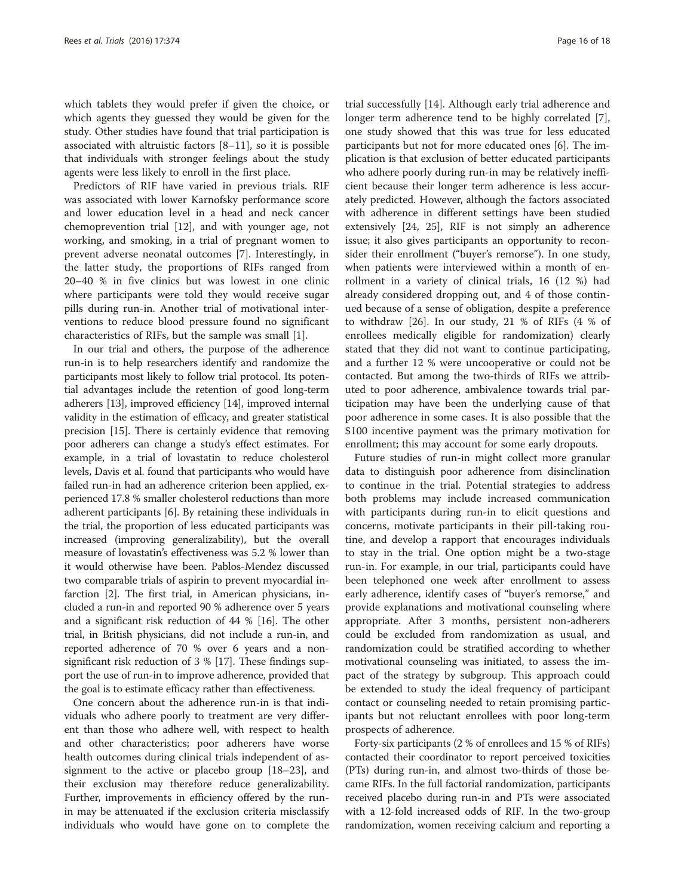which tablets they would prefer if given the choice, or which agents they guessed they would be given for the study. Other studies have found that trial participation is associated with altruistic factors  $[8-11]$  $[8-11]$  $[8-11]$  $[8-11]$  $[8-11]$ , so it is possible that individuals with stronger feelings about the study agents were less likely to enroll in the first place.

Predictors of RIF have varied in previous trials. RIF was associated with lower Karnofsky performance score and lower education level in a head and neck cancer chemoprevention trial [[12\]](#page-17-0), and with younger age, not working, and smoking, in a trial of pregnant women to prevent adverse neonatal outcomes [\[7](#page-17-0)]. Interestingly, in the latter study, the proportions of RIFs ranged from 20–40 % in five clinics but was lowest in one clinic where participants were told they would receive sugar pills during run-in. Another trial of motivational interventions to reduce blood pressure found no significant characteristics of RIFs, but the sample was small [[1](#page-17-0)].

In our trial and others, the purpose of the adherence run-in is to help researchers identify and randomize the participants most likely to follow trial protocol. Its potential advantages include the retention of good long-term adherers [\[13\]](#page-17-0), improved efficiency [\[14\]](#page-17-0), improved internal validity in the estimation of efficacy, and greater statistical precision [\[15\]](#page-17-0). There is certainly evidence that removing poor adherers can change a study's effect estimates. For example, in a trial of lovastatin to reduce cholesterol levels, Davis et al. found that participants who would have failed run-in had an adherence criterion been applied, experienced 17.8 % smaller cholesterol reductions than more adherent participants [\[6](#page-17-0)]. By retaining these individuals in the trial, the proportion of less educated participants was increased (improving generalizability), but the overall measure of lovastatin's effectiveness was 5.2 % lower than it would otherwise have been. Pablos-Mendez discussed two comparable trials of aspirin to prevent myocardial infarction [[2](#page-17-0)]. The first trial, in American physicians, included a run-in and reported 90 % adherence over 5 years and a significant risk reduction of 44 % [\[16\]](#page-17-0). The other trial, in British physicians, did not include a run-in, and reported adherence of 70 % over 6 years and a nonsignificant risk reduction of 3 % [[17](#page-17-0)]. These findings support the use of run-in to improve adherence, provided that the goal is to estimate efficacy rather than effectiveness.

One concern about the adherence run-in is that individuals who adhere poorly to treatment are very different than those who adhere well, with respect to health and other characteristics; poor adherers have worse health outcomes during clinical trials independent of assignment to the active or placebo group [[18](#page-17-0)–[23](#page-17-0)], and their exclusion may therefore reduce generalizability. Further, improvements in efficiency offered by the runin may be attenuated if the exclusion criteria misclassify individuals who would have gone on to complete the

trial successfully [[14\]](#page-17-0). Although early trial adherence and longer term adherence tend to be highly correlated [\[7](#page-17-0)], one study showed that this was true for less educated participants but not for more educated ones [\[6\]](#page-17-0). The implication is that exclusion of better educated participants who adhere poorly during run-in may be relatively inefficient because their longer term adherence is less accurately predicted. However, although the factors associated with adherence in different settings have been studied extensively [\[24, 25\]](#page-17-0), RIF is not simply an adherence issue; it also gives participants an opportunity to reconsider their enrollment ("buyer's remorse"). In one study, when patients were interviewed within a month of enrollment in a variety of clinical trials, 16 (12 %) had already considered dropping out, and 4 of those continued because of a sense of obligation, despite a preference to withdraw [[26](#page-17-0)]. In our study, 21 % of RIFs (4 % of enrollees medically eligible for randomization) clearly stated that they did not want to continue participating, and a further 12 % were uncooperative or could not be contacted. But among the two-thirds of RIFs we attributed to poor adherence, ambivalence towards trial participation may have been the underlying cause of that poor adherence in some cases. It is also possible that the \$100 incentive payment was the primary motivation for enrollment; this may account for some early dropouts.

Future studies of run-in might collect more granular data to distinguish poor adherence from disinclination to continue in the trial. Potential strategies to address both problems may include increased communication with participants during run-in to elicit questions and concerns, motivate participants in their pill-taking routine, and develop a rapport that encourages individuals to stay in the trial. One option might be a two-stage run-in. For example, in our trial, participants could have been telephoned one week after enrollment to assess early adherence, identify cases of "buyer's remorse," and provide explanations and motivational counseling where appropriate. After 3 months, persistent non-adherers could be excluded from randomization as usual, and randomization could be stratified according to whether motivational counseling was initiated, to assess the impact of the strategy by subgroup. This approach could be extended to study the ideal frequency of participant contact or counseling needed to retain promising participants but not reluctant enrollees with poor long-term prospects of adherence.

Forty-six participants (2 % of enrollees and 15 % of RIFs) contacted their coordinator to report perceived toxicities (PTs) during run-in, and almost two-thirds of those became RIFs. In the full factorial randomization, participants received placebo during run-in and PTs were associated with a 12-fold increased odds of RIF. In the two-group randomization, women receiving calcium and reporting a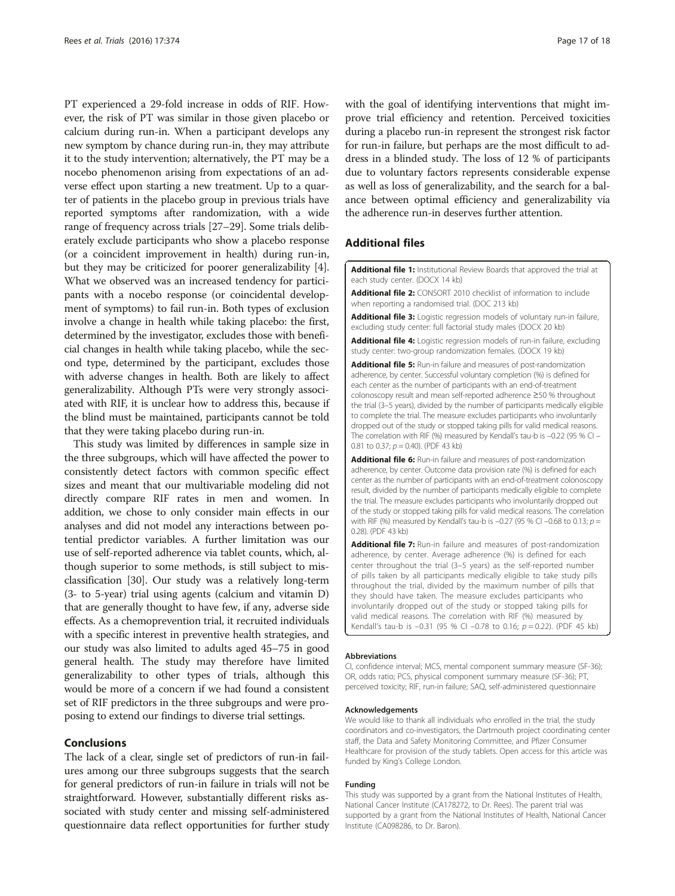<span id="page-16-0"></span>PT experienced a 29-fold increase in odds of RIF. However, the risk of PT was similar in those given placebo or calcium during run-in. When a participant develops any new symptom by chance during run-in, they may attribute it to the study intervention; alternatively, the PT may be a nocebo phenomenon arising from expectations of an adverse effect upon starting a new treatment. Up to a quarter of patients in the placebo group in previous trials have reported symptoms after randomization, with a wide range of frequency across trials [\[27](#page-17-0)–[29](#page-17-0)]. Some trials deliberately exclude participants who show a placebo response (or a coincident improvement in health) during run-in, but they may be criticized for poorer generalizability [[4](#page-17-0)]. What we observed was an increased tendency for participants with a nocebo response (or coincidental development of symptoms) to fail run-in. Both types of exclusion involve a change in health while taking placebo: the first, determined by the investigator, excludes those with beneficial changes in health while taking placebo, while the second type, determined by the participant, excludes those with adverse changes in health. Both are likely to affect generalizability. Although PTs were very strongly associated with RIF, it is unclear how to address this, because if the blind must be maintained, participants cannot be told that they were taking placebo during run-in.

This study was limited by differences in sample size in the three subgroups, which will have affected the power to consistently detect factors with common specific effect sizes and meant that our multivariable modeling did not directly compare RIF rates in men and women. In addition, we chose to only consider main effects in our analyses and did not model any interactions between potential predictor variables. A further limitation was our use of self-reported adherence via tablet counts, which, although superior to some methods, is still subject to misclassification [\[30\]](#page-17-0). Our study was a relatively long-term (3- to 5-year) trial using agents (calcium and vitamin D) that are generally thought to have few, if any, adverse side effects. As a chemoprevention trial, it recruited individuals with a specific interest in preventive health strategies, and our study was also limited to adults aged 45–75 in good general health. The study may therefore have limited generalizability to other types of trials, although this would be more of a concern if we had found a consistent set of RIF predictors in the three subgroups and were proposing to extend our findings to diverse trial settings.

# Conclusions

The lack of a clear, single set of predictors of run-in failures among our three subgroups suggests that the search for general predictors of run-in failure in trials will not be straightforward. However, substantially different risks associated with study center and missing self-administered questionnaire data reflect opportunities for further study

with the goal of identifying interventions that might improve trial efficiency and retention. Perceived toxicities during a placebo run-in represent the strongest risk factor for run-in failure, but perhaps are the most difficult to address in a blinded study. The loss of 12 % of participants due to voluntary factors represents considerable expense as well as loss of generalizability, and the search for a balance between optimal efficiency and generalizability via the adherence run-in deserves further attention.

# Additional files

[Additional file 1:](dx.doi.org/10.1186/s13063-016-1451-9) Institutional Review Boards that approved the trial at each study center. (DOCX 14 kb)

[Additional file 2:](dx.doi.org/10.1186/s13063-016-1451-9) CONSORT 2010 checklist of information to include when reporting a randomised trial. (DOC 213 kb)

[Additional file 3:](dx.doi.org/10.1186/s13063-016-1451-9) Logistic regression models of voluntary run-in failure, excluding study center: full factorial study males (DOCX 20 kb)

[Additional file 4:](dx.doi.org/10.1186/s13063-016-1451-9) Logistic regression models of run-in failure, excluding study center: two-group randomization females. (DOCX 19 kb)

[Additional file 5:](dx.doi.org/10.1186/s13063-016-1451-9) Run-in failure and measures of post-randomization adherence, by center. Successful voluntary completion (%) is defined for each center as the number of participants with an end-of-treatment colonoscopy result and mean self-reported adherence ≥50 % throughout the trial (3–5 years), divided by the number of participants medically eligible to complete the trial. The measure excludes participants who involuntarily dropped out of the study or stopped taking pills for valid medical reasons. The correlation with RIF (%) measured by Kendall's tau-b is -0.22 (95 % CI -0.81 to 0.37;  $p = 0.40$ ). (PDF 43 kb)

[Additional file 6:](dx.doi.org/10.1186/s13063-016-1451-9) Run-in failure and measures of post-randomization adherence, by center. Outcome data provision rate (%) is defined for each center as the number of participants with an end-of-treatment colonoscopy result, divided by the number of participants medically eligible to complete the trial. The measure excludes participants who involuntarily dropped out of the study or stopped taking pills for valid medical reasons. The correlation with RIF (%) measured by Kendall's tau-b is -0.27 (95 % CI -0.68 to 0.13;  $p =$ 0.28). (PDF 43 kb)

[Additional file 7:](dx.doi.org/10.1186/s13063-016-1451-9) Run-in failure and measures of post-randomization adherence, by center. Average adherence (%) is defined for each center throughout the trial (3–5 years) as the self-reported number of pills taken by all participants medically eligible to take study pills throughout the trial, divided by the maximum number of pills that they should have taken. The measure excludes participants who involuntarily dropped out of the study or stopped taking pills for valid medical reasons. The correlation with RIF (%) measured by Kendall's tau-b is  $-0.31$  (95 % CI  $-0.78$  to 0.16;  $p = 0.22$ ). (PDF 45 kb)

#### Abbreviations

CI, confidence interval; MCS, mental component summary measure (SF-36); OR, odds ratio; PCS, physical component summary measure (SF-36); PT, perceived toxicity; RIF, run-in failure; SAQ, self-administered questionnaire

#### Acknowledgements

We would like to thank all individuals who enrolled in the trial, the study coordinators and co-investigators, the Dartmouth project coordinating center staff, the Data and Safety Monitoring Committee, and Pfizer Consumer Healthcare for provision of the study tablets. Open access for this article was funded by King's College London.

#### Funding

This study was supported by a grant from the National Institutes of Health, National Cancer Institute (CA178272, to Dr. Rees). The parent trial was supported by a grant from the National Institutes of Health, National Cancer Institute (CA098286, to Dr. Baron).